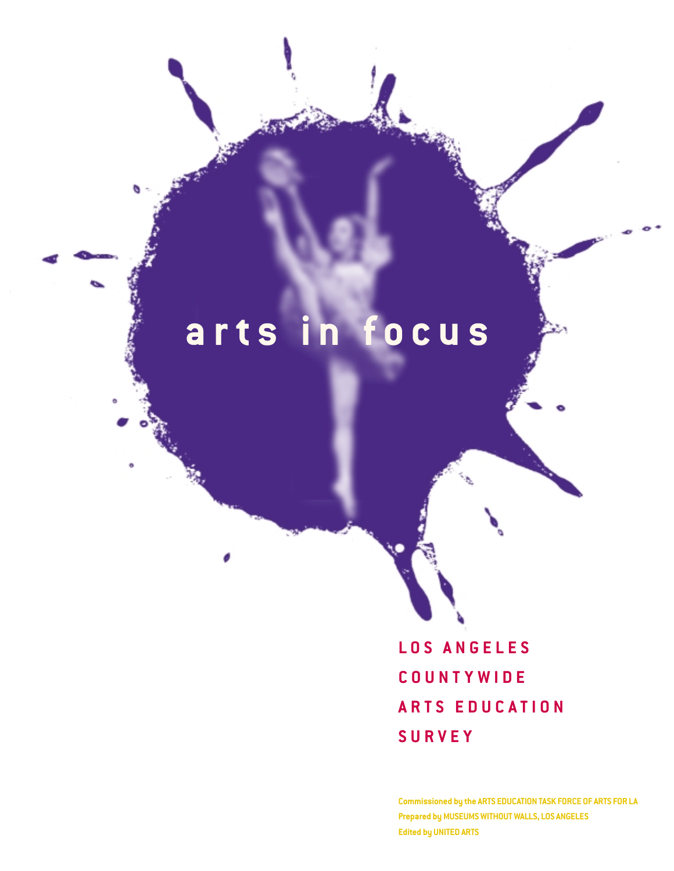# **arts in focus**

**LOS ANGELES COUNTYWIDE ARTS EDUCATION SURVEY**

**Commissioned by the ARTS EDUCATION TASK FORCE OF ARTS FOR LA Prepared by MUSEUMS WITHOUT WALLS, LOS ANGELES Edited by UNITED ARTS**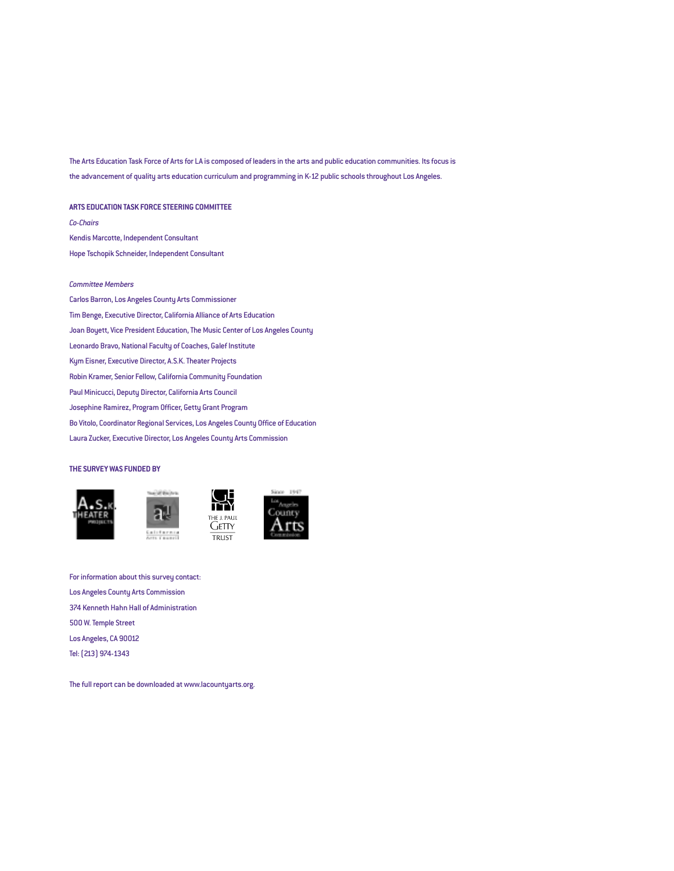The Arts Education Task Force of Arts for LA is composed of leaders in the arts and public education communities. Its focus is the advancement of quality arts education curriculum and programming in K-12 public schools throughout Los Angeles.

#### **ARTS EDUCATION TASK FORCE STEERING COMMITTEE**

*Co-Chairs* Kendis Marcotte, Independent Consultant Hope Tschopik Schneider, Independent Consultant

#### *Committee Members*

Carlos Barron, Los Angeles County Arts Commissioner Tim Benge, Executive Director, California Alliance of Arts Education Joan Boyett, Vice President Education, The Music Center of Los Angeles County Leonardo Bravo, National Faculty of Coaches, Galef Institute Kym Eisner, Executive Director, A.S.K. Theater Projects Robin Kramer, Senior Fellow, California Community Foundation Paul Minicucci, Deputy Director, California Arts Council Josephine Ramirez, Program Officer, Getty Grant Program Bo Vitolo, Coordinator Regional Services, Los Angeles County Office of Education Laura Zucker, Executive Director, Los Angeles County Arts Commission

#### **THE SURVEY WAS FUNDED BY**





ÌΤΥ THE J. PAUL **GETTY TRUST** 



For information about this survey contact: Los Angeles County Arts Commission 374 Kenneth Hahn Hall of Administration 500 W. Temple Street Los Angeles, CA 90012 Tel: (213) 974-1343

The full report can be downloaded at www.lacountyarts.org.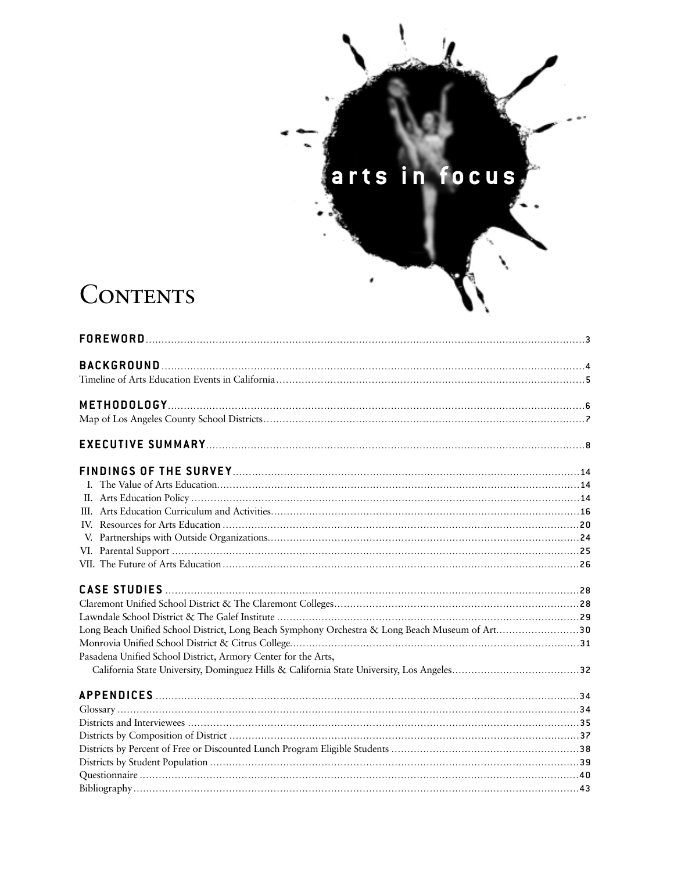# arts in focus

ŕ

 $\mathbf{I}_{\mathbf{A}}$ 

# CONTENTS

| Long Beach Unified School District, Long Beach Symphony Orchestra & Long Beach Museum of Art30 |  |
|------------------------------------------------------------------------------------------------|--|
|                                                                                                |  |
| Pasadena Unified School District, Armory Center for the Arts,                                  |  |
|                                                                                                |  |
|                                                                                                |  |
|                                                                                                |  |
|                                                                                                |  |
|                                                                                                |  |
|                                                                                                |  |
|                                                                                                |  |
|                                                                                                |  |
|                                                                                                |  |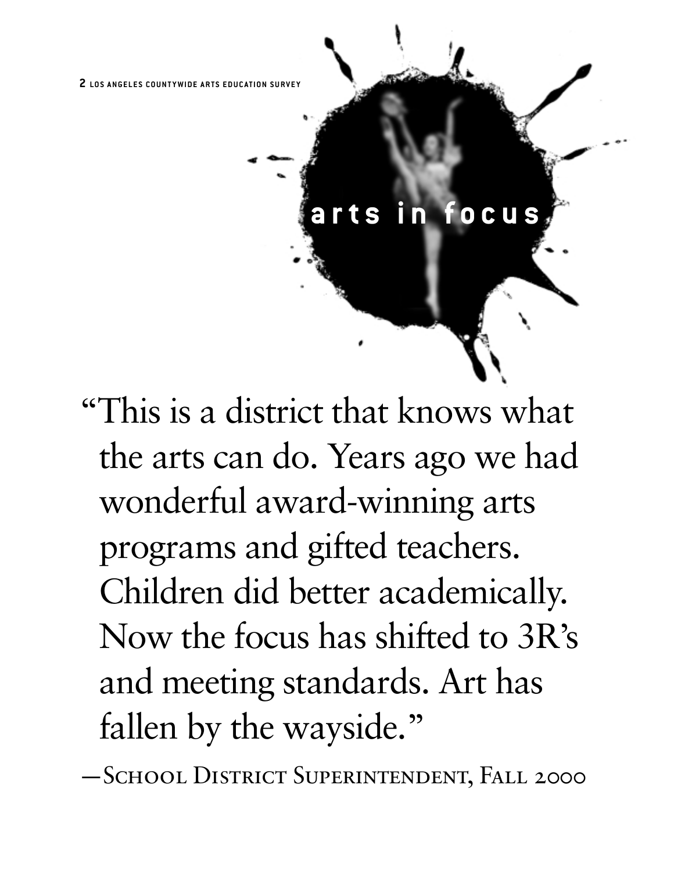# **arts in focus**

"This is a district that knows what the arts can do. Years ago we had wonderful award-winning arts programs and gifted teachers. Children did better academically. Now the focus has shifted to 3R's and meeting standards. Art has fallen by the wayside."

—School District Superintendent, Fall 2000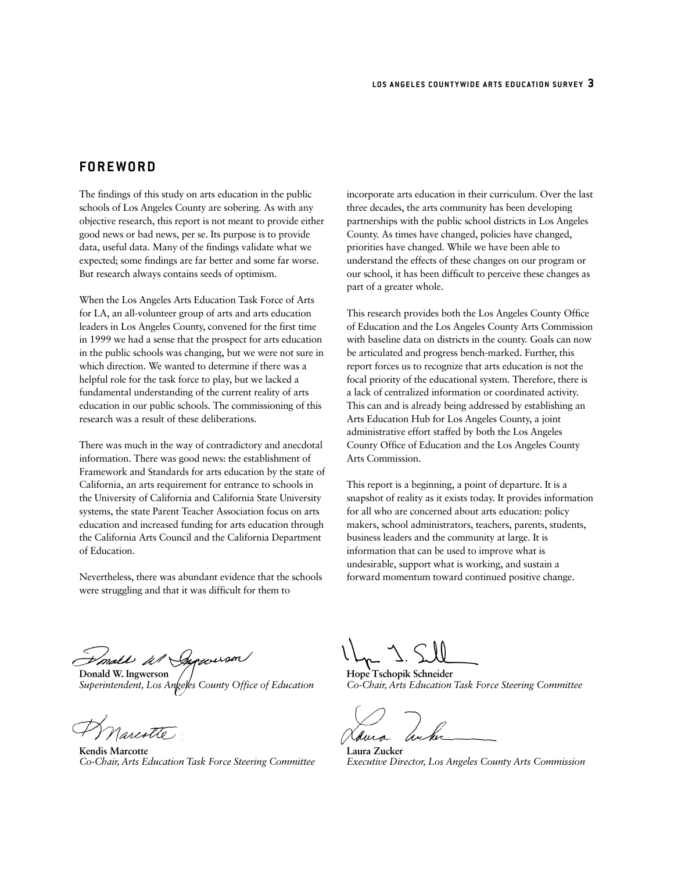# **FOREWORD**

The findings of this study on arts education in the public schools of Los Angeles County are sobering. As with any objective research, this report is not meant to provide either good news or bad news, per se. Its purpose is to provide data, useful data. Many of the findings validate what we expected; some findings are far better and some far worse. But research always contains seeds of optimism.

When the Los Angeles Arts Education Task Force of Arts for LA, an all-volunteer group of arts and arts education leaders in Los Angeles County, convened for the first time in 1999 we had a sense that the prospect for arts education in the public schools was changing, but we were not sure in which direction. We wanted to determine if there was a helpful role for the task force to play, but we lacked a fundamental understanding of the current reality of arts education in our public schools. The commissioning of this research was a result of these deliberations.

There was much in the way of contradictory and anecdotal information. There was good news: the establishment of Framework and Standards for arts education by the state of California, an arts requirement for entrance to schools in the University of California and California State University systems, the state Parent Teacher Association focus on arts education and increased funding for arts education through the California Arts Council and the California Department of Education.

Nevertheless, there was abundant evidence that the schools were struggling and that it was difficult for them to

incorporate arts education in their curriculum. Over the last three decades, the arts community has been developing partnerships with the public school districts in Los Angeles County. As times have changed, policies have changed, priorities have changed. While we have been able to understand the effects of these changes on our program or our school, it has been difficult to perceive these changes as part of a greater whole.

This research provides both the Los Angeles County Office of Education and the Los Angeles County Arts Commission with baseline data on districts in the county. Goals can now be articulated and progress bench-marked. Further, this report forces us to recognize that arts education is not the focal priority of the educational system. Therefore, there is a lack of centralized information or coordinated activity. This can and is already being addressed by establishing an Arts Education Hub for Los Angeles County, a joint administrative effort staffed by both the Los Angeles County Office of Education and the Los Angeles County Arts Commission.

This report is a beginning, a point of departure. It is a snapshot of reality as it exists today. It provides information for all who are concerned about arts education: policy makers, school administrators, teachers, parents, students, business leaders and the community at large. It is information that can be used to improve what is undesirable, support what is working, and sustain a forward momentum toward continued positive change.

Imall W Supporson

**Donald W. Ingwerson** *Superintendent, Los Angeles County Office of Education*

.<br>Narcotte

**Kendis Marcotte** *Co-Chair, Arts Education Task Force Steering Committee*

**Hope Tschopik Schneider** *Co-Chair, Arts Education Task Force Steering Committee*

**Laura Zucker** *Executive Director, Los Angeles County Arts Commission*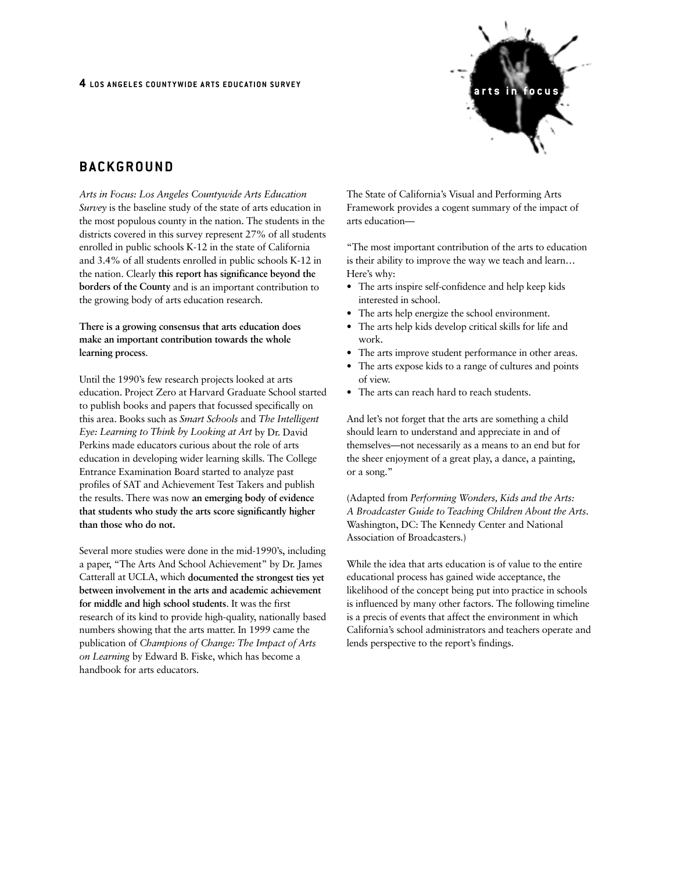

# **BACKGROUND**

*Arts in Focus: Los Angeles Countywide Arts Education Survey* is the baseline study of the state of arts education in the most populous county in the nation. The students in the districts covered in this survey represent 27% of all students enrolled in public schools K-12 in the state of California and 3.4% of all students enrolled in public schools K-12 in the nation. Clearly **this report has significance beyond the borders of the County** and is an important contribution to the growing body of arts education research.

**There is a growing consensus that arts education does make an important contribution towards the whole learning process**.

Until the 1990's few research projects looked at arts education. Project Zero at Harvard Graduate School started to publish books and papers that focussed specifically on this area. Books such as *Smart Schools* and *The Intelligent Eye: Learning to Think by Looking at Art* by Dr. David Perkins made educators curious about the role of arts education in developing wider learning skills. The College Entrance Examination Board started to analyze past profiles of SAT and Achievement Test Takers and publish the results. There was now **an emerging body of evidence that students who study the arts score significantly higher than those who do not.**

Several more studies were done in the mid-1990's, including a paper, "The Arts And School Achievement" by Dr. James Catterall at UCLA, which **documented the strongest ties yet between involvement in the arts and academic achievement for middle and high school students**. It was the first research of its kind to provide high-quality, nationally based numbers showing that the arts matter. In 1999 came the publication of *Champions of Change: The Impact of Arts on Learning* by Edward B. Fiske, which has become a handbook for arts educators.

The State of California's Visual and Performing Arts Framework provides a cogent summary of the impact of arts education—

"The most important contribution of the arts to education is their ability to improve the way we teach and learn… Here's why:

- The arts inspire self-confidence and help keep kids interested in school.
- The arts help energize the school environment.
- The arts help kids develop critical skills for life and work.
- The arts improve student performance in other areas.
- The arts expose kids to a range of cultures and points of view.
- The arts can reach hard to reach students.

And let's not forget that the arts are something a child should learn to understand and appreciate in and of themselves—not necessarily as a means to an end but for the sheer enjoyment of a great play, a dance, a painting, or a song."

(Adapted from *Performing Wonders, Kids and the Arts: A Broadcaster Guide to Teaching Children About the Arts*. Washington, DC: The Kennedy Center and National Association of Broadcasters.)

While the idea that arts education is of value to the entire educational process has gained wide acceptance, the likelihood of the concept being put into practice in schools is influenced by many other factors. The following timeline is a precis of events that affect the environment in which California's school administrators and teachers operate and lends perspective to the report's findings.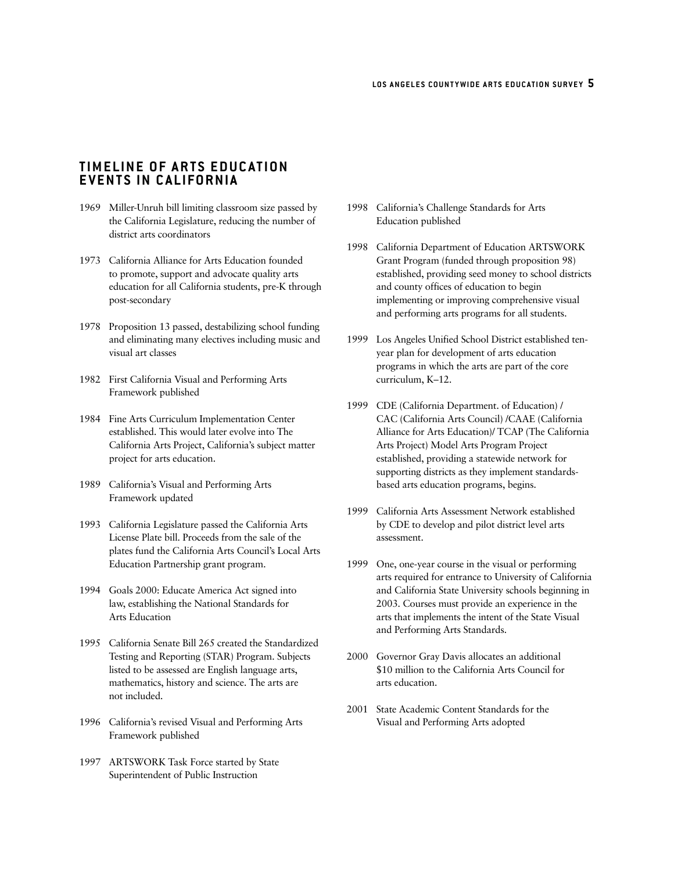# **TIMELINE OF ARTS EDUCATION EVENTS IN CALIFORNIA**

- 1969 Miller-Unruh bill limiting classroom size passed by the California Legislature, reducing the number of district arts coordinators
- 1973 California Alliance for Arts Education founded to promote, support and advocate quality arts education for all California students, pre-K through post-secondary
- 1978 Proposition 13 passed, destabilizing school funding and eliminating many electives including music and visual art classes
- 1982 First California Visual and Performing Arts Framework published
- 1984 Fine Arts Curriculum Implementation Center established. This would later evolve into The California Arts Project, California's subject matter project for arts education.
- 1989 California's Visual and Performing Arts Framework updated
- 1993 California Legislature passed the California Arts License Plate bill. Proceeds from the sale of the plates fund the California Arts Council's Local Arts Education Partnership grant program.
- 1994 Goals 2000: Educate America Act signed into law, establishing the National Standards for Arts Education
- 1995 California Senate Bill 265 created the Standardized Testing and Reporting (STAR) Program. Subjects listed to be assessed are English language arts, mathematics, history and science. The arts are not included.
- 1996 California's revised Visual and Performing Arts Framework published
- 1997 ARTSWORK Task Force started by State Superintendent of Public Instruction
- 1998 California's Challenge Standards for Arts Education published
- 1998 California Department of Education ARTSWORK Grant Program (funded through proposition 98) established, providing seed money to school districts and county offices of education to begin implementing or improving comprehensive visual and performing arts programs for all students.
- 1999 Los Angeles Unified School District established tenyear plan for development of arts education programs in which the arts are part of the core curriculum, K–12.
- 1999 CDE (California Department. of Education) / CAC (California Arts Council) /CAAE (California Alliance for Arts Education)/ TCAP (The California Arts Project) Model Arts Program Project established, providing a statewide network for supporting districts as they implement standardsbased arts education programs, begins.
- 1999 California Arts Assessment Network established by CDE to develop and pilot district level arts assessment.
- 1999 One, one-year course in the visual or performing arts required for entrance to University of California and California State University schools beginning in 2003. Courses must provide an experience in the arts that implements the intent of the State Visual and Performing Arts Standards.
- 2000 Governor Gray Davis allocates an additional \$10 million to the California Arts Council for arts education.
- 2001 State Academic Content Standards for the Visual and Performing Arts adopted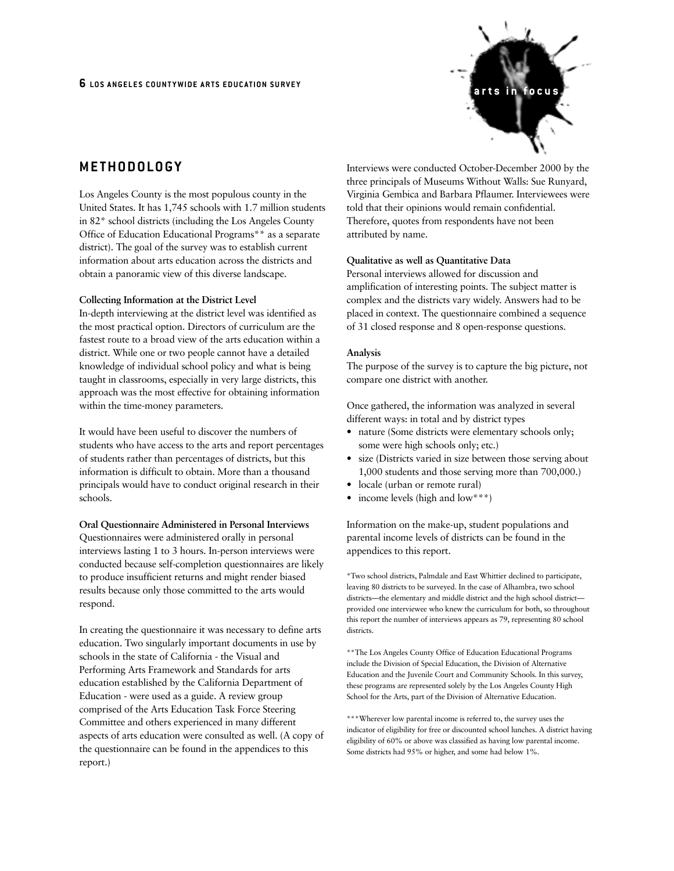

# **METHODOLOGY**

Los Angeles County is the most populous county in the United States. It has 1,745 schools with 1.7 million students in 82\* school districts (including the Los Angeles County Office of Education Educational Programs\*\* as a separate district). The goal of the survey was to establish current information about arts education across the districts and obtain a panoramic view of this diverse landscape.

### **Collecting Information at the District Level**

In-depth interviewing at the district level was identified as the most practical option. Directors of curriculum are the fastest route to a broad view of the arts education within a district. While one or two people cannot have a detailed knowledge of individual school policy and what is being taught in classrooms, especially in very large districts, this approach was the most effective for obtaining information within the time-money parameters.

It would have been useful to discover the numbers of students who have access to the arts and report percentages of students rather than percentages of districts, but this information is difficult to obtain. More than a thousand principals would have to conduct original research in their schools.

#### **Oral Questionnaire Administered in Personal Interviews**

Questionnaires were administered orally in personal interviews lasting 1 to 3 hours. In-person interviews were conducted because self-completion questionnaires are likely to produce insufficient returns and might render biased results because only those committed to the arts would respond.

In creating the questionnaire it was necessary to define arts education. Two singularly important documents in use by schools in the state of California - the Visual and Performing Arts Framework and Standards for arts education established by the California Department of Education - were used as a guide. A review group comprised of the Arts Education Task Force Steering Committee and others experienced in many different aspects of arts education were consulted as well. (A copy of the questionnaire can be found in the appendices to this report.)

Interviews were conducted October-December 2000 by the three principals of Museums Without Walls: Sue Runyard, Virginia Gembica and Barbara Pflaumer. Interviewees were told that their opinions would remain confidential. Therefore, quotes from respondents have not been attributed by name.

#### **Qualitative as well as Quantitative Data**

Personal interviews allowed for discussion and amplification of interesting points. The subject matter is complex and the districts vary widely. Answers had to be placed in context. The questionnaire combined a sequence of 31 closed response and 8 open-response questions.

#### **Analysis**

The purpose of the survey is to capture the big picture, not compare one district with another.

Once gathered, the information was analyzed in several different ways: in total and by district types

- nature (Some districts were elementary schools only; some were high schools only; etc.)
- size (Districts varied in size between those serving about 1,000 students and those serving more than 700,000.)
- locale (urban or remote rural)
- income levels (high and low\*\*\*)

Information on the make-up, student populations and parental income levels of districts can be found in the appendices to this report.

\*Two school districts, Palmdale and East Whittier declined to participate, leaving 80 districts to be surveyed. In the case of Alhambra, two school districts—the elementary and middle district and the high school district provided one interviewee who knew the curriculum for both, so throughout this report the number of interviews appears as 79, representing 80 school districts.

\*\*The Los Angeles County Office of Education Educational Programs include the Division of Special Education, the Division of Alternative Education and the Juvenile Court and Community Schools. In this survey, these programs are represented solely by the Los Angeles County High School for the Arts, part of the Division of Alternative Education.

\*\*\*Wherever low parental income is referred to, the survey uses the indicator of eligibility for free or discounted school lunches. A district having eligibility of 60% or above was classified as having low parental income. Some districts had 95% or higher, and some had below 1%.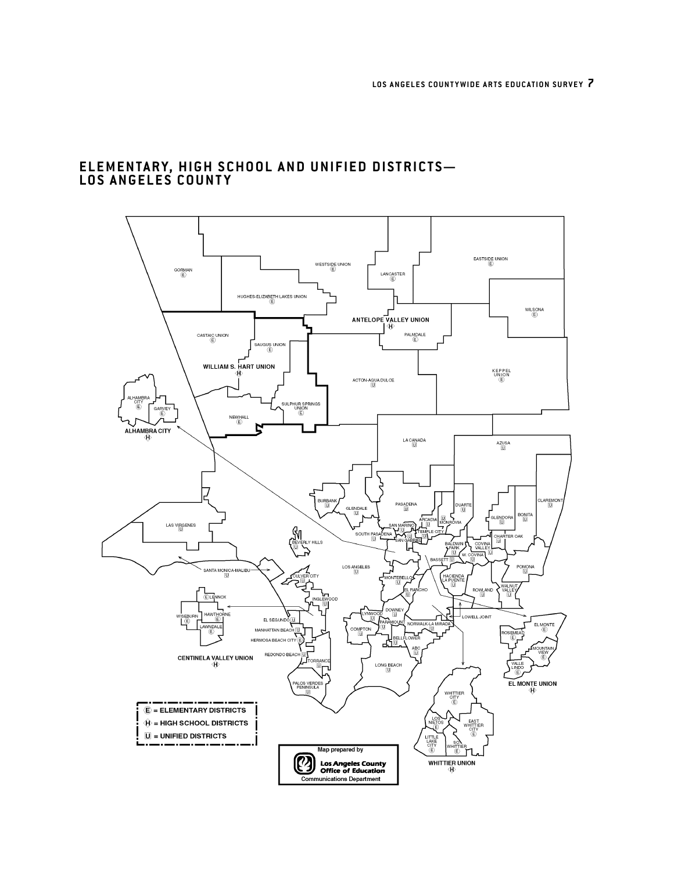# **ELEMENTARY, HIGH SCHOOL AND UNIFIED DISTRICTS— LOS ANGELES COUNTY**

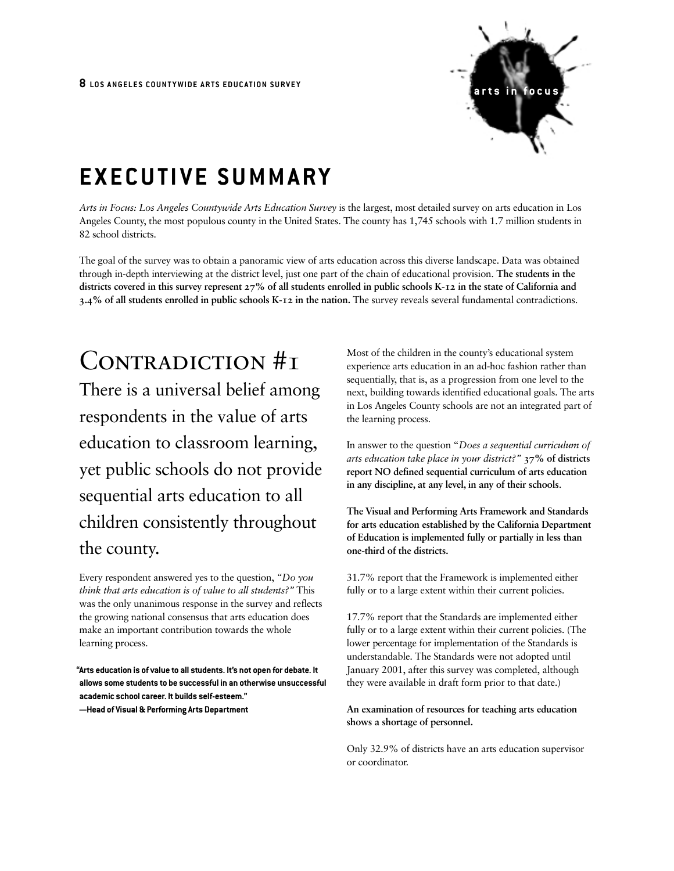

# **EXECUTIVE SUMMARY**

*Arts in Focus: Los Angeles Countywide Arts Education Survey* is the largest, most detailed survey on arts education in Los Angeles County, the most populous county in the United States. The county has 1,745 schools with 1.7 million students in 82 school districts.

The goal of the survey was to obtain a panoramic view of arts education across this diverse landscape. Data was obtained through in-depth interviewing at the district level, just one part of the chain of educational provision. **The students in the districts covered in this survey represent 27% of all students enrolled in public schools K-12 in the state of California and 3.4% of all students enrolled in public schools K-12 in the nation.** The survey reveals several fundamental contradictions.

# CONTRADICTION #1

There is a universal belief among respondents in the value of arts education to classroom learning, yet public schools do not provide sequential arts education to all children consistently throughout the county.

Every respondent answered yes to the question, *"Do you think that arts education is of value to all students?"* This was the only unanimous response in the survey and reflects the growing national consensus that arts education does make an important contribution towards the whole learning process.

**"Arts education is of value to all students. It's not open for debate. It allows some students to be successful in an otherwise unsuccessful academic school career. It builds self-esteem." —Head of Visual & Performing Arts Department**

Most of the children in the county's educational system experience arts education in an ad-hoc fashion rather than sequentially, that is, as a progression from one level to the next, building towards identified educational goals. The arts in Los Angeles County schools are not an integrated part of the learning process.

In answer to the question "*Does a sequential curriculum of arts education take place in your district?"* **37% of districts report NO defined sequential curriculum of arts education in any discipline, at any level, in any of their schools**.

**The Visual and Performing Arts Framework and Standards for arts education established by the California Department of Education is implemented fully or partially in less than one-third of the districts.**

31.7% report that the Framework is implemented either fully or to a large extent within their current policies.

17.7% report that the Standards are implemented either fully or to a large extent within their current policies. (The lower percentage for implementation of the Standards is understandable. The Standards were not adopted until January 2001, after this survey was completed, although they were available in draft form prior to that date.)

**An examination of resources for teaching arts education shows a shortage of personnel.**

Only 32.9% of districts have an arts education supervisor or coordinator.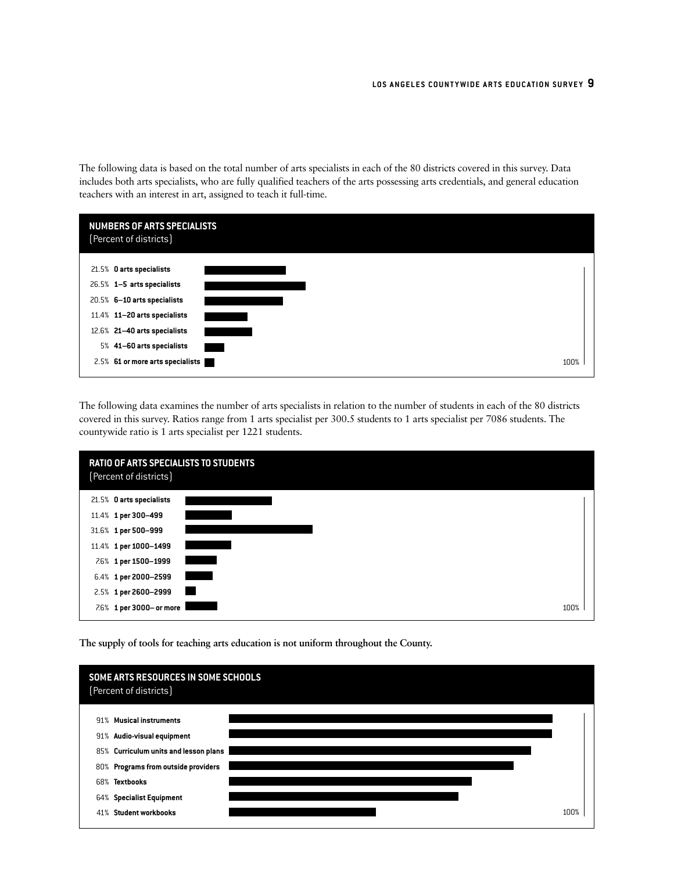The following data is based on the total number of arts specialists in each of the 80 districts covered in this survey. Data includes both arts specialists, who are fully qualified teachers of the arts possessing arts credentials, and general education teachers with an interest in art, assigned to teach it full-time.

|  | <b>NUMBERS OF ARTS SPECIALISTS</b><br>(Percent of districts) |      |
|--|--------------------------------------------------------------|------|
|  | 21.5% O arts specialists                                     |      |
|  | 26.5% 1-5 arts specialists                                   |      |
|  | 20.5% 6-10 arts specialists                                  |      |
|  | 11.4% 11-20 arts specialists                                 |      |
|  | 12.6% 21-40 arts specialists                                 |      |
|  | 5% 41-60 arts specialists                                    |      |
|  | 2.5% 61 or more arts specialists                             | 100% |

The following data examines the number of arts specialists in relation to the number of students in each of the 80 districts covered in this survey. Ratios range from 1 arts specialist per 300.5 students to 1 arts specialist per 7086 students. The countywide ratio is 1 arts specialist per 1221 students.



**The supply of tools for teaching arts education is not uniform throughout the County.**

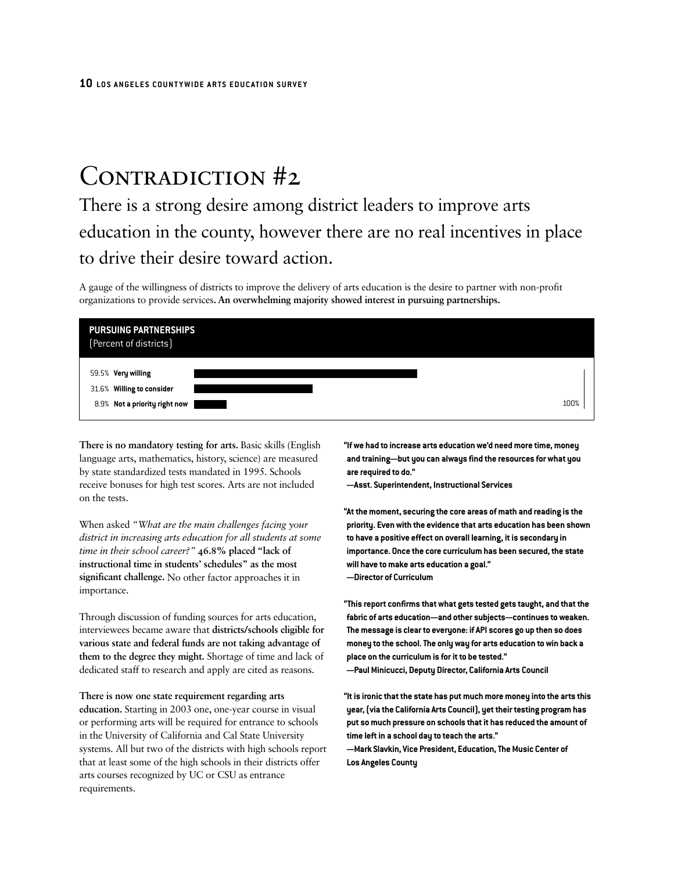# CONTRADICTION #2

There is a strong desire among district leaders to improve arts education in the county, however there are no real incentives in place to drive their desire toward action.

A gauge of the willingness of districts to improve the delivery of arts education is the desire to partner with non-profit organizations to provide services**. An overwhelming majority showed interest in pursuing partnerships.**

| <b>PURSUING PARTNERSHIPS</b><br>(Percent of districts)                           |      |
|----------------------------------------------------------------------------------|------|
| 59.5% Very willing<br>31.6% Willing to consider<br>8.9% Not a priority right now | 100% |

**There is no mandatory testing for arts.** Basic skills (English language arts, mathematics, history, science) are measured by state standardized tests mandated in 1995. Schools receive bonuses for high test scores. Arts are not included on the tests.

When asked *"What are the main challenges facing your district in increasing arts education for all students at some time in their school career?"* **46.8% placed "lack of instructional time in students' schedules" as the most significant challenge.** No other factor approaches it in importance.

Through discussion of funding sources for arts education, interviewees became aware that **districts/schools eligible for various state and federal funds are not taking advantage of them to the degree they might.** Shortage of time and lack of dedicated staff to research and apply are cited as reasons.

**There is now one state requirement regarding arts education.** Starting in 2003 one, one-year course in visual or performing arts will be required for entrance to schools in the University of California and Cal State University systems. All but two of the districts with high schools report that at least some of the high schools in their districts offer arts courses recognized by UC or CSU as entrance requirements.

**"If we had to increase arts education we'd need more time, money and training—but you can always find the resources for what you are required to do."**

**—Asst. Superintendent, Instructional Services**

**"At the moment, securing the core areas of math and reading is the priority. Even with the evidence that arts education has been shown to have a positive effect on overall learning, it is secondary in importance. Once the core curriculum has been secured, the state will have to make arts education a goal." —Director of Curriculum**

**"This report confirms that what gets tested gets taught, and that the fabric of arts education—and other subjects—continues to weaken. The message is clear to everyone: if API scores go up then so does money to the school. The only way for arts education to win back a place on the curriculum is for it to be tested." —Paul Minicucci, Deputy Director, California Arts Council**

**"It is ironic that the state has put much more money into the arts this year, (via the California Arts Council), yet their testing program has put so much pressure on schools that it has reduced the amount of time left in a school day to teach the arts."**

**—Mark Slavkin, Vice President, Education, The Music Center of Los Angeles County**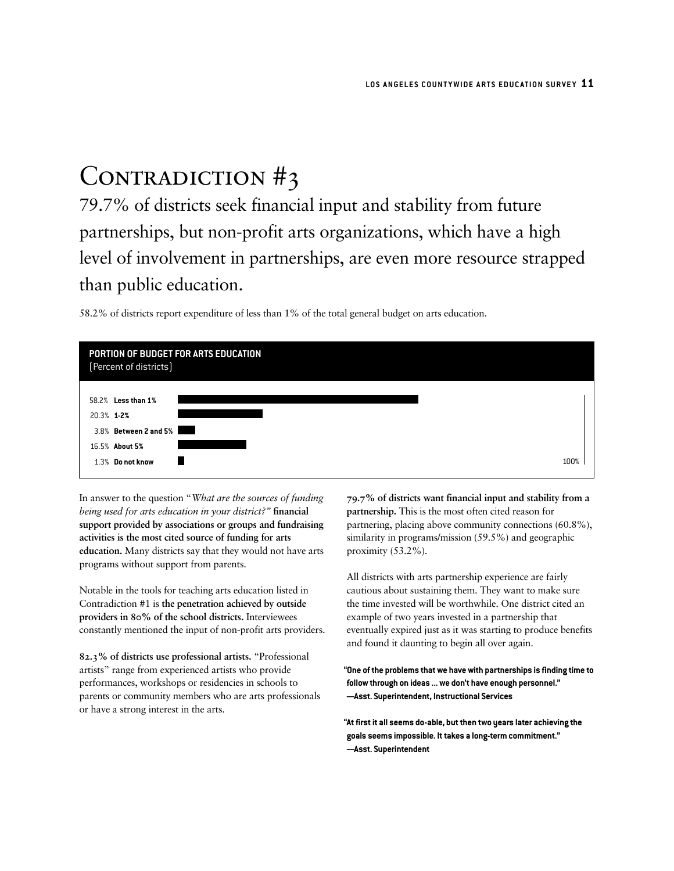# CONTRADICTION #3

79.7% of districts seek financial input and stability from future partnerships, but non-profit arts organizations, which have a high level of involvement in partnerships, are even more resource strapped than public education.

58.2% of districts report expenditure of less than 1% of the total general budget on arts education.



In answer to the question "*What are the sources of funding being used for arts education in your district?"* **financial support provided by associations or groups and fundraising activities is the most cited source of funding for arts education.** Many districts say that they would not have arts programs without support from parents.

Notable in the tools for teaching arts education listed in Contradiction #1 is **the penetration achieved by outside providers in 80% of the school districts.** Interviewees constantly mentioned the input of non-profit arts providers.

**82.3% of districts use professional artists.** "Professional artists" range from experienced artists who provide performances, workshops or residencies in schools to parents or community members who are arts professionals or have a strong interest in the arts.

**79.7% of districts want financial input and stability from a partnership.** This is the most often cited reason for partnering, placing above community connections (60.8%), similarity in programs/mission (59.5%) and geographic proximity (53.2%).

All districts with arts partnership experience are fairly cautious about sustaining them. They want to make sure the time invested will be worthwhile. One district cited an example of two years invested in a partnership that eventually expired just as it was starting to produce benefits and found it daunting to begin all over again.

**"One of the problems that we have with partnerships is finding time to follow through on ideas ... we don't have enough personnel." —Asst. Superintendent, Instructional Services**

**"At first it all seems do-able, but then two years later achieving the goals seems impossible. It takes a long-term commitment." —Asst. Superintendent**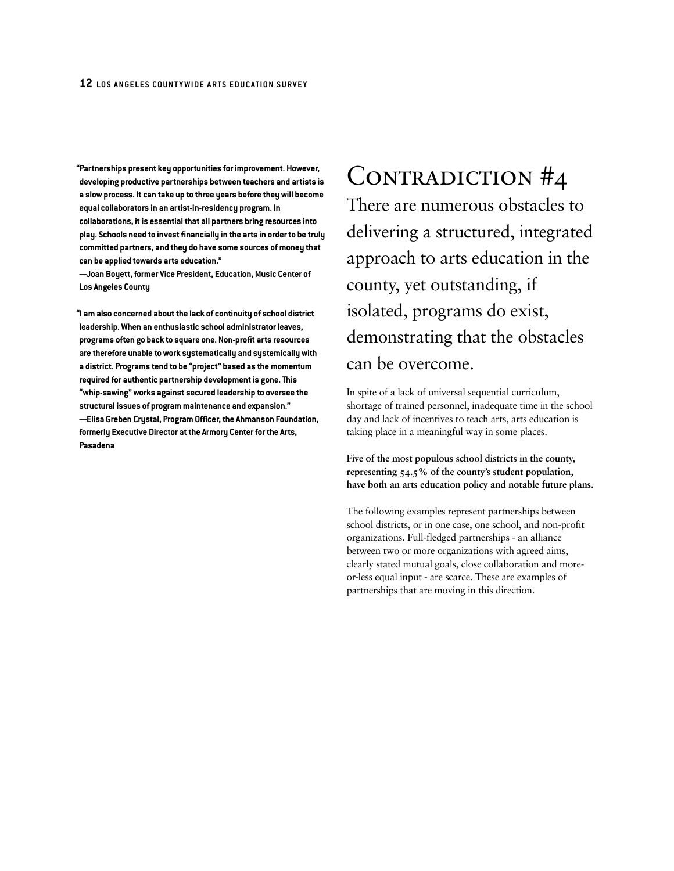**"Partnerships present key opportunities for improvement. However, developing productive partnerships between teachers and artists is a slow process. It can take up to three years before they will become equal collaborators in an artist-in-residency program. In collaborations, it is essential that all partners bring resources into play. Schools need to invest financially in the arts in order to be truly committed partners, and they do have some sources of money that can be applied towards arts education."**

**—Joan Boyett, former Vice President, Education, Music Center of Los Angeles County**

**"I am also concerned about the lack of continuity of school district leadership. When an enthusiastic school administrator leaves, programs often go back to square one. Non-profit arts resources are therefore unable to work systematically and systemically with a district. Programs tend to be "project" based as the momentum required for authentic partnership development is gone. This "whip-sawing" works against secured leadership to oversee the structural issues of program maintenance and expansion." —Elisa Greben Crystal, Program Officer, the Ahmanson Foundation, formerly Executive Director at the Armory Center for the Arts, Pasadena**

CONTRADICTION #4 There are numerous obstacles to delivering a structured, integrated approach to arts education in the county, yet outstanding, if isolated, programs do exist, demonstrating that the obstacles can be overcome.

In spite of a lack of universal sequential curriculum, shortage of trained personnel, inadequate time in the school day and lack of incentives to teach arts, arts education is taking place in a meaningful way in some places.

**Five of the most populous school districts in the county, representing 54.5% of the county's student population, have both an arts education policy and notable future plans.**

The following examples represent partnerships between school districts, or in one case, one school, and non-profit organizations. Full-fledged partnerships - an alliance between two or more organizations with agreed aims, clearly stated mutual goals, close collaboration and moreor-less equal input - are scarce. These are examples of partnerships that are moving in this direction.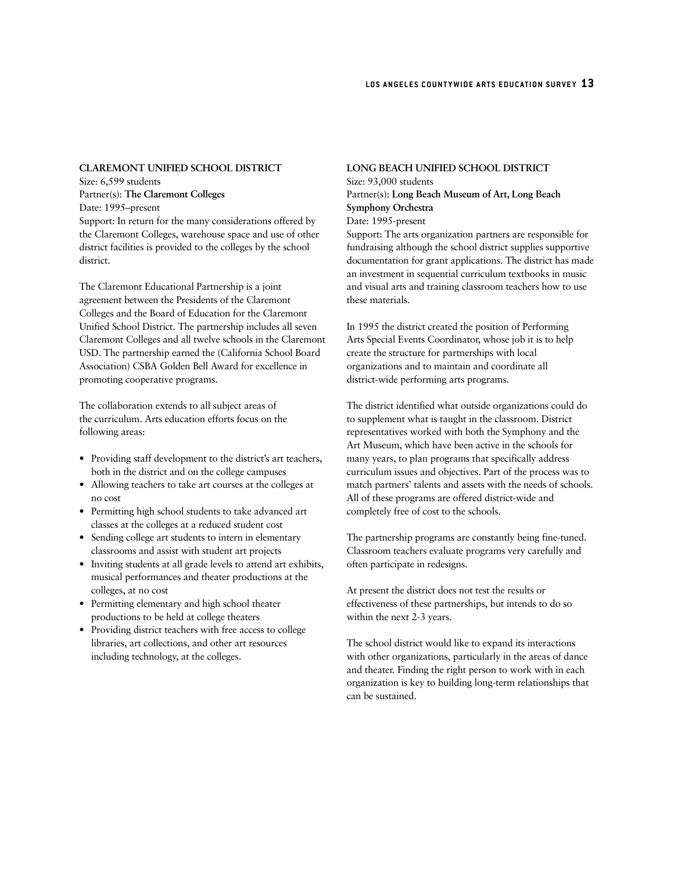#### **CLAREMONT UNIFIED SCHOOL DISTRICT**

Size: 6,599 students Partner(s): **The Claremont Colleges** Date: 1995–present Support: In return for the many considerations offered by the Claremont Colleges, warehouse space and use of other district facilities is provided to the colleges by the school district.

The Claremont Educational Partnership is a joint agreement between the Presidents of the Claremont Colleges and the Board of Education for the Claremont Unified School District. The partnership includes all seven Claremont Colleges and all twelve schools in the Claremont USD. The partnership earned the (California School Board Association) CSBA Golden Bell Award for excellence in promoting cooperative programs.

The collaboration extends to all subject areas of the curriculum. Arts education efforts focus on the following areas:

- Providing staff development to the district's art teachers, both in the district and on the college campuses
- Allowing teachers to take art courses at the colleges at no cost
- Permitting high school students to take advanced art classes at the colleges at a reduced student cost
- Sending college art students to intern in elementary classrooms and assist with student art projects
- Inviting students at all grade levels to attend art exhibits, musical performances and theater productions at the colleges, at no cost
- Permitting elementary and high school theater productions to be held at college theaters
- Providing district teachers with free access to college libraries, art collections, and other art resources including technology, at the colleges.

## **LONG BEACH UNIFIED SCHOOL DISTRICT** Size: 93,000 students

### Partner(s): **Long Beach Museum of Art, Long Beach Symphony Orchestra**

#### Date: 1995-present

Support: The arts organization partners are responsible for fundraising although the school district supplies supportive documentation for grant applications. The district has made an investment in sequential curriculum textbooks in music and visual arts and training classroom teachers how to use these materials.

In 1995 the district created the position of Performing Arts Special Events Coordinator, whose job it is to help create the structure for partnerships with local organizations and to maintain and coordinate all district-wide performing arts programs.

The district identified what outside organizations could do to supplement what is taught in the classroom. District representatives worked with both the Symphony and the Art Museum, which have been active in the schools for many years, to plan programs that specifically address curriculum issues and objectives. Part of the process was to match partners' talents and assets with the needs of schools. All of these programs are offered district-wide and completely free of cost to the schools.

The partnership programs are constantly being fine-tuned. Classroom teachers evaluate programs very carefully and often participate in redesigns.

At present the district does not test the results or effectiveness of these partnerships, but intends to do so within the next 2-3 years.

The school district would like to expand its interactions with other organizations, particularly in the areas of dance and theater. Finding the right person to work with in each organization is key to building long-term relationships that can be sustained.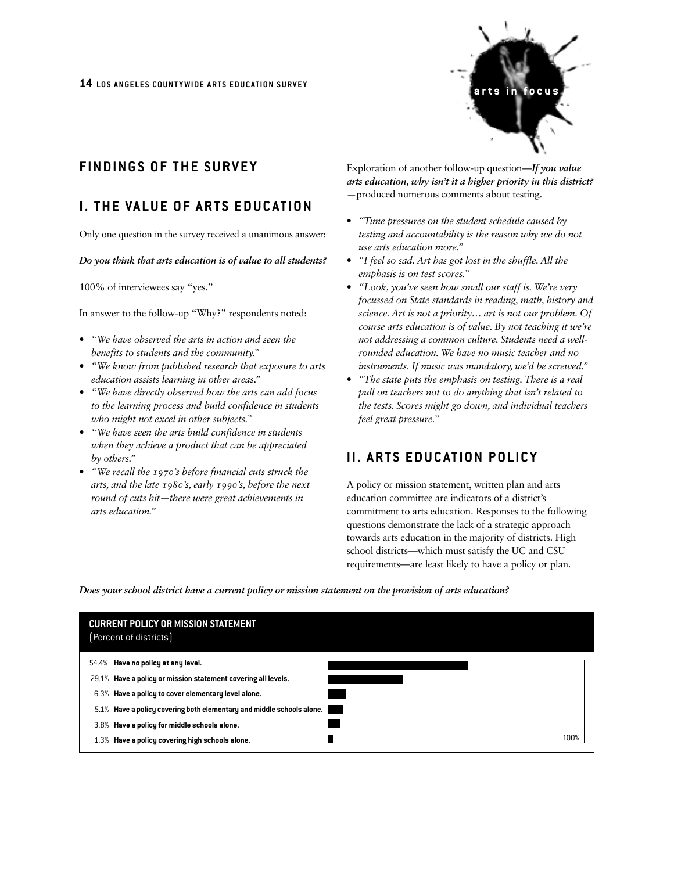

# **FINDINGS OF THE SURVEY**

# **I. THE VALUE OF ARTS EDUCATION**

Only one question in the survey received a unanimous answer:

#### *Do you think that arts education is of value to all students?*

100% of interviewees say "yes."

In answer to the follow-up "Why?" respondents noted:

- *"We have observed the arts in action and seen the benefits to students and the community."*
- *"We know from published research that exposure to arts education assists learning in other areas."*
- *"We have directly observed how the arts can add focus to the learning process and build confidence in students who might not excel in other subjects."*
- *"We have seen the arts build confidence in students when they achieve a product that can be appreciated by others."*
- *"We recall the 1970's before financial cuts struck the arts, and the late 1980's, early 1990's, before the next round of cuts hit—there were great achievements in arts education."*

Exploration of another follow-up question—*If you value arts education, why isn't it a higher priority in this district? —*produced numerous comments about testing.

- *"Time pressures on the student schedule caused by testing and accountability is the reason why we do not use arts education more."*
- *"I feel so sad. Art has got lost in the shuffle. All the emphasis is on test scores."*
- *"Look, you've seen how small our staff is. We're very focussed on State standards in reading, math, history and science. Art is not a priority… art is not our problem. Of course arts education is of value. By not teaching it we're not addressing a common culture. Students need a wellrounded education. We have no music teacher and no instruments. If music was mandatory, we'd be screwed."*
- *"The state puts the emphasis on testing. There is a real pull on teachers not to do anything that isn't related to the tests. Scores might go down, and individual teachers feel great pressure."*

# **II. ARTS EDUCATION POLICY**

A policy or mission statement, written plan and arts education committee are indicators of a district's commitment to arts education. Responses to the following questions demonstrate the lack of a strategic approach towards arts education in the majority of districts. High school districts—which must satisfy the UC and CSU requirements—are least likely to have a policy or plan.

*Does your school district have a current policy or mission statement on the provision of arts education?*

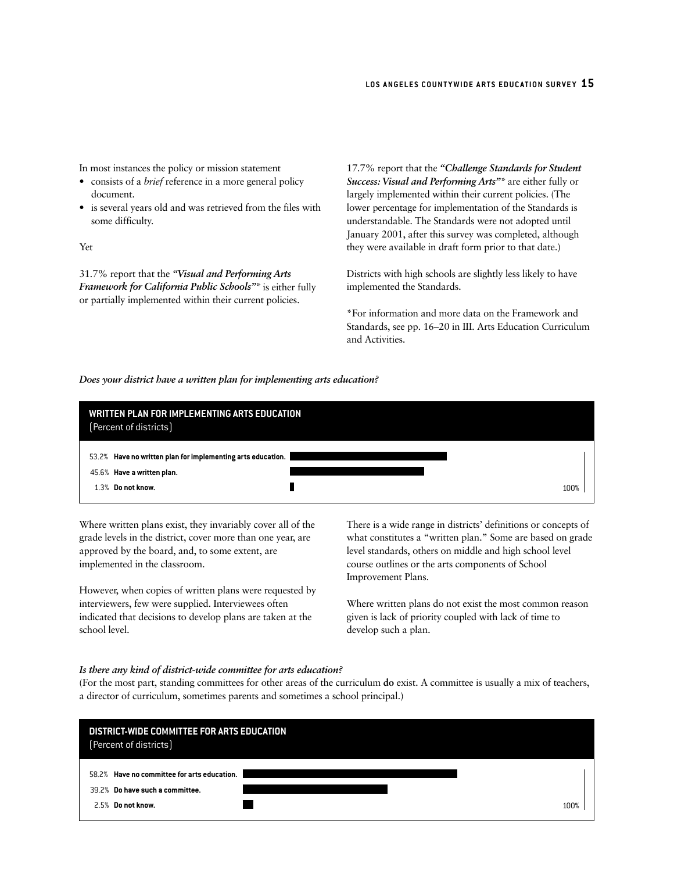In most instances the policy or mission statement

- consists of a *brief* reference in a more general policy document.
- is several years old and was retrieved from the files with some difficulty.

Yet

31.7% report that the *"Visual and Performing Arts Framework for California Public Schools"\** is either fully or partially implemented within their current policies.

17.7% report that the *"Challenge Standards for Student Success: Visual and Performing Arts"\** are either fully or largely implemented within their current policies. (The lower percentage for implementation of the Standards is understandable. The Standards were not adopted until January 2001, after this survey was completed, although they were available in draft form prior to that date.)

Districts with high schools are slightly less likely to have implemented the Standards.

\*For information and more data on the Framework and Standards, see pp. 16–20 in III. Arts Education Curriculum and Activities.

#### *Does your district have a written plan for implementing arts education?*

| WRITTEN PLAN FOR IMPLEMENTING ARTS EDUCATION<br>(Percent of districts)                                         |      |
|----------------------------------------------------------------------------------------------------------------|------|
| 53.2% Have no written plan for implementing arts education.<br>45.6% Have a written plan.<br>1.3% Do not know. | 100% |

Where written plans exist, they invariably cover all of the grade levels in the district, cover more than one year, are approved by the board, and, to some extent, are implemented in the classroom.

However, when copies of written plans were requested by interviewers, few were supplied. Interviewees often indicated that decisions to develop plans are taken at the school level.

There is a wide range in districts' definitions or concepts of what constitutes a "written plan." Some are based on grade level standards, others on middle and high school level course outlines or the arts components of School Improvement Plans.

Where written plans do not exist the most common reason given is lack of priority coupled with lack of time to develop such a plan.

#### *Is there any kind of district-wide committee for arts education?*

(For the most part, standing committees for other areas of the curriculum **do** exist. A committee is usually a mix of teachers, a director of curriculum, sometimes parents and sometimes a school principal.)

| DISTRICT-WIDE COMMITTEE FOR ARTS EDUCATION<br>(Percent of districts)                                   |      |
|--------------------------------------------------------------------------------------------------------|------|
| Have no committee for arts education.<br>58.2%<br>39.2% Do have such a committee.<br>2.5% Do not know. | 100% |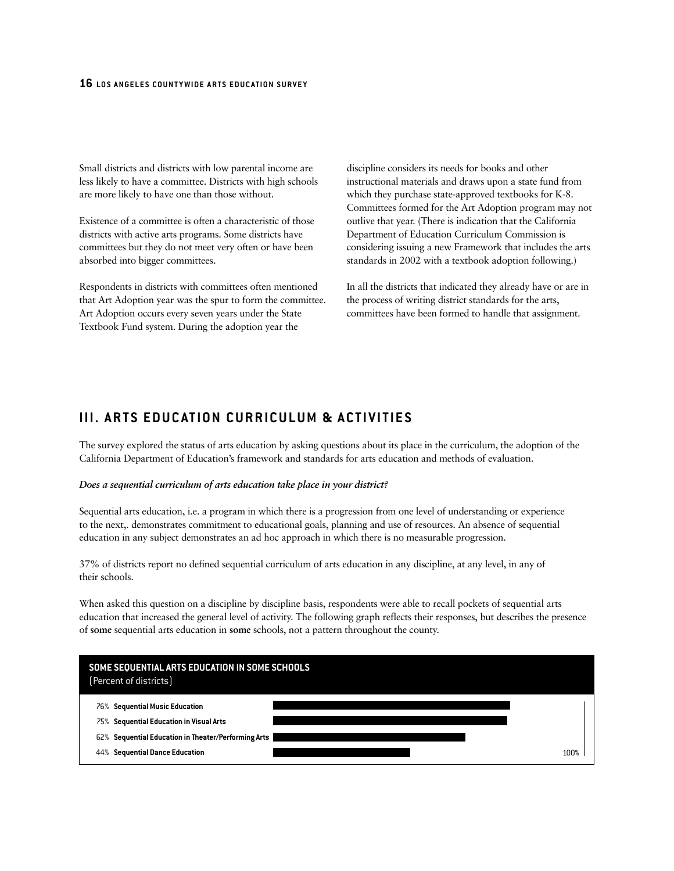Small districts and districts with low parental income are less likely to have a committee. Districts with high schools are more likely to have one than those without.

Existence of a committee is often a characteristic of those districts with active arts programs. Some districts have committees but they do not meet very often or have been absorbed into bigger committees.

Respondents in districts with committees often mentioned that Art Adoption year was the spur to form the committee. Art Adoption occurs every seven years under the State Textbook Fund system. During the adoption year the

discipline considers its needs for books and other instructional materials and draws upon a state fund from which they purchase state-approved textbooks for K-8. Committees formed for the Art Adoption program may not outlive that year. (There is indication that the California Department of Education Curriculum Commission is considering issuing a new Framework that includes the arts standards in 2002 with a textbook adoption following.)

In all the districts that indicated they already have or are in the process of writing district standards for the arts, committees have been formed to handle that assignment.

# **III. ARTS EDUCATION CURRICULUM & ACTIVITIES**

The survey explored the status of arts education by asking questions about its place in the curriculum, the adoption of the California Department of Education's framework and standards for arts education and methods of evaluation.

#### *Does a sequential curriculum of arts education take place in your district?*

Sequential arts education, i.e. a program in which there is a progression from one level of understanding or experience to the next,. demonstrates commitment to educational goals, planning and use of resources. An absence of sequential education in any subject demonstrates an ad hoc approach in which there is no measurable progression.

37% of districts report no defined sequential curriculum of arts education in any discipline, at any level, in any of their schools.

When asked this question on a discipline by discipline basis, respondents were able to recall pockets of sequential arts education that increased the general level of activity. The following graph reflects their responses, but describes the presence of **some** sequential arts education in **some** schools, not a pattern throughout the county.

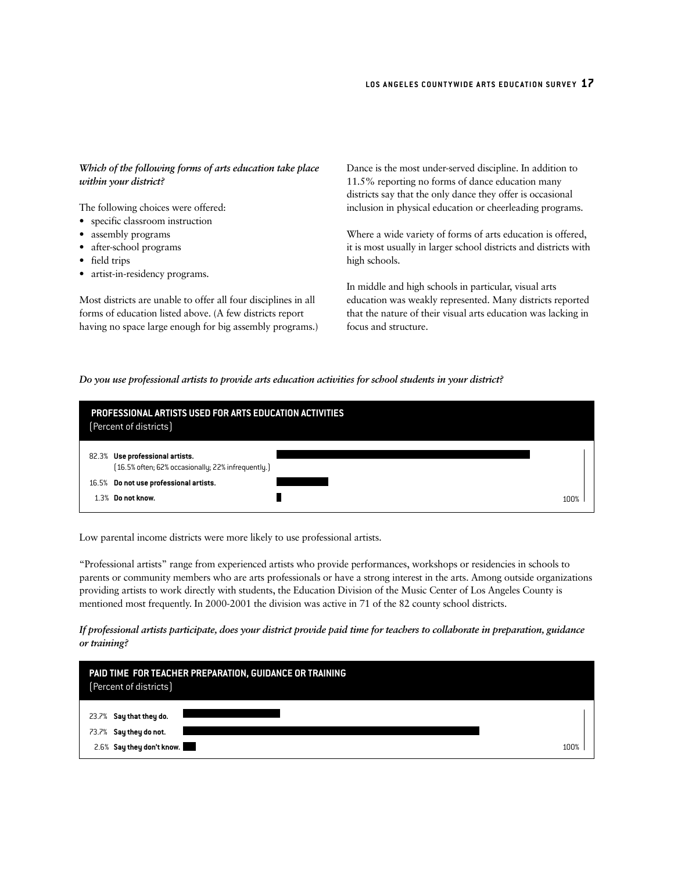Dance is the most under-served discipline. In addition to

#### *within your district?*  The following choices were offered: • specific classroom instruction • assembly programs • after-school programs • field trips • artist-in-residency programs. Most districts are unable to offer all four disciplines in all forms of education listed above. (A few districts report having no space large enough for big assembly programs.) 11.5% reporting no forms of dance education many districts say that the only dance they offer is occasional inclusion in physical education or cheerleading programs. Where a wide variety of forms of arts education is offered, it is most usually in larger school districts and districts with high schools. In middle and high schools in particular, visual arts education was weakly represented. Many districts reported that the nature of their visual arts education was lacking in focus and structure.

*Do you use professional artists to provide arts education activities for school students in your district?*

|       | PROFESSIONAL ARTISTS USED FOR ARTS EDUCATION ACTIVITIES<br>(Percent of districts)     |      |  |
|-------|---------------------------------------------------------------------------------------|------|--|
|       | 82.3% Use professional artists.<br>[16.5% often; 62% occasionally; 22% infrequently.] |      |  |
| 16.5% | Do not use professional artists.                                                      |      |  |
| 1.3%  | Do not know.                                                                          | 100% |  |

Low parental income districts were more likely to use professional artists.

*Which of the following forms of arts education take place*

"Professional artists" range from experienced artists who provide performances, workshops or residencies in schools to parents or community members who are arts professionals or have a strong interest in the arts. Among outside organizations providing artists to work directly with students, the Education Division of the Music Center of Los Angeles County is mentioned most frequently. In 2000-2001 the division was active in 71 of the 82 county school districts.

#### *If professional artists participate, does your district provide paid time for teachers to collaborate in preparation, guidance or training?*

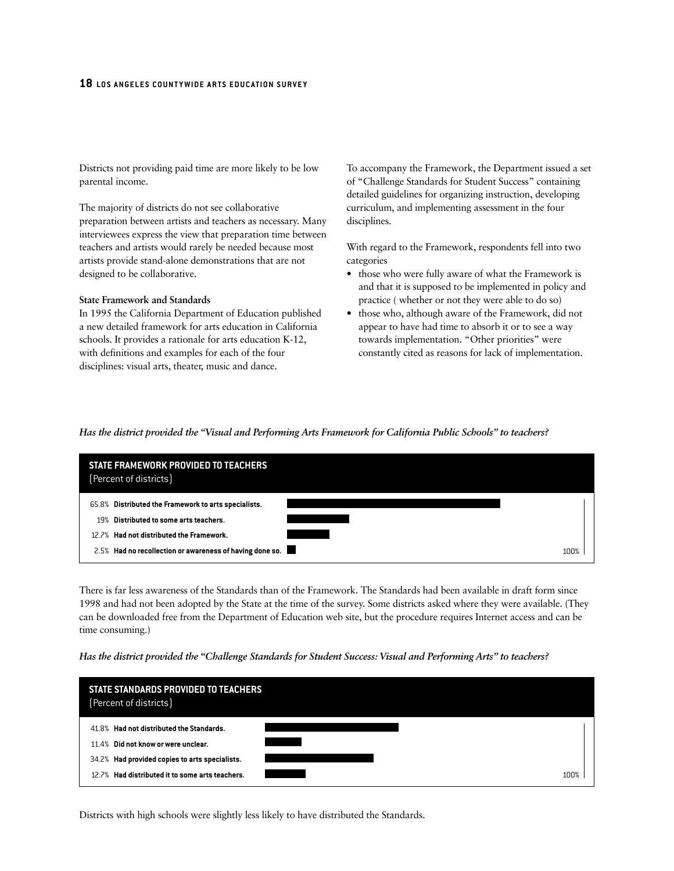Districts not providing paid time are more likely to be low parental income.

The majority of districts do not see collaborative preparation between artists and teachers as necessary. Many interviewees express the view that preparation time between teachers and artists would rarely be needed because most artists provide stand-alone demonstrations that are not designed to be collaborative.

#### **State Framework and Standards**

In 1995 the California Department of Education published a new detailed framework for arts education in California schools. It provides a rationale for arts education K-12, with definitions and examples for each of the four disciplines: visual arts, theater, music and dance.

To accompany the Framework, the Department issued a set of "Challenge Standards for Student Success" containing detailed guidelines for organizing instruction, developing curriculum, and implementing assessment in the four disciplines.

With regard to the Framework, respondents fell into two categories

- those who were fully aware of what the Framework is and that it is supposed to be implemented in policy and practice ( whether or not they were able to do so)
- those who, although aware of the Framework, did not appear to have had time to absorb it or to see a way towards implementation. "Other priorities" were constantly cited as reasons for lack of implementation.

#### *Has the district provided the "Visual and Performing Arts Framework for California Public Schools" to teachers?*

| STATE FRAMEWORK PROVIDED TO TEACHERS<br>(Percent of districts) |      |
|----------------------------------------------------------------|------|
| 65.8% Distributed the Framework to arts specialists.           |      |
| 19% Distributed to some arts teachers.                         |      |
| 12.7% Had not distributed the Framework.                       |      |
| 2.5% Had no recollection or awareness of having done so.       | 1በበ% |

There is far less awareness of the Standards than of the Framework. The Standards had been available in draft form since 1998 and had not been adopted by the State at the time of the survey. Some districts asked where they were available. (They can be downloaded free from the Department of Education web site, but the procedure requires Internet access and can be time consuming.)

#### *Has the district provided the "Challenge Standards for Student Success: Visual and Performing Arts" to teachers?*



Districts with high schools were slightly less likely to have distributed the Standards.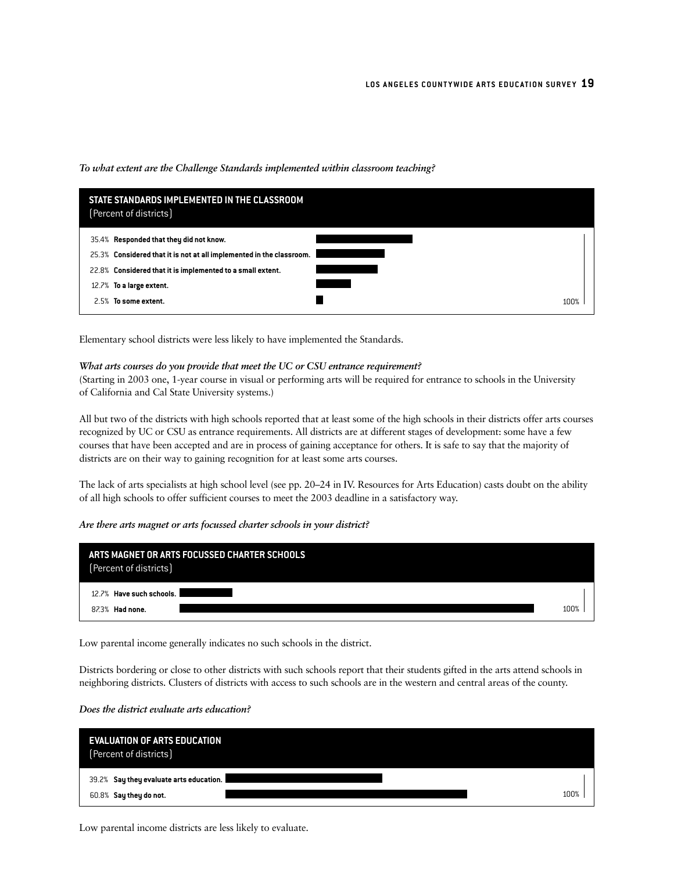|      | STATE STANDARDS IMPLEMENTED IN THE CLASSROOM<br>(Percent of districts) |      |  |
|------|------------------------------------------------------------------------|------|--|
|      | 35.4% Responded that they did not know.                                |      |  |
|      | 25.3% Considered that it is not at all implemented in the classroom.   |      |  |
|      | 22.8% Considered that it is implemented to a small extent.             |      |  |
|      | 12.7% To a large extent.                                               |      |  |
| 2.5% | To some extent.                                                        | 100% |  |

#### *To what extent are the Challenge Standards implemented within classroom teaching?*

Elementary school districts were less likely to have implemented the Standards.

#### *What arts courses do you provide that meet the UC or CSU entrance requirement?*

(Starting in 2003 one, 1-year course in visual or performing arts will be required for entrance to schools in the University of California and Cal State University systems.)

All but two of the districts with high schools reported that at least some of the high schools in their districts offer arts courses recognized by UC or CSU as entrance requirements. All districts are at different stages of development: some have a few courses that have been accepted and are in process of gaining acceptance for others. It is safe to say that the majority of districts are on their way to gaining recognition for at least some arts courses.

The lack of arts specialists at high school level (see pp. 20–24 in IV. Resources for Arts Education) casts doubt on the ability of all high schools to offer sufficient courses to meet the 2003 deadline in a satisfactory way.

#### *Are there arts magnet or arts focussed charter schools in your district?*

| ARTS MAGNET OR ARTS FOCUSSED CHARTER SCHOOLS<br>(Percent of districts) |      |
|------------------------------------------------------------------------|------|
| 12.7% Have such schools.                                               |      |
| 87.3% Had none.                                                        | 100% |

Low parental income generally indicates no such schools in the district.

Districts bordering or close to other districts with such schools report that their students gifted in the arts attend schools in neighboring districts. Clusters of districts with access to such schools are in the western and central areas of the county.

#### *Does the district evaluate arts education?*

| <b>EVALUATION OF ARTS EDUCATION</b><br>[Percent of districts] |      |
|---------------------------------------------------------------|------|
| 39.2% Say they evaluate arts education.                       |      |
| 60.8% Say they do not.                                        | 100% |

Low parental income districts are less likely to evaluate.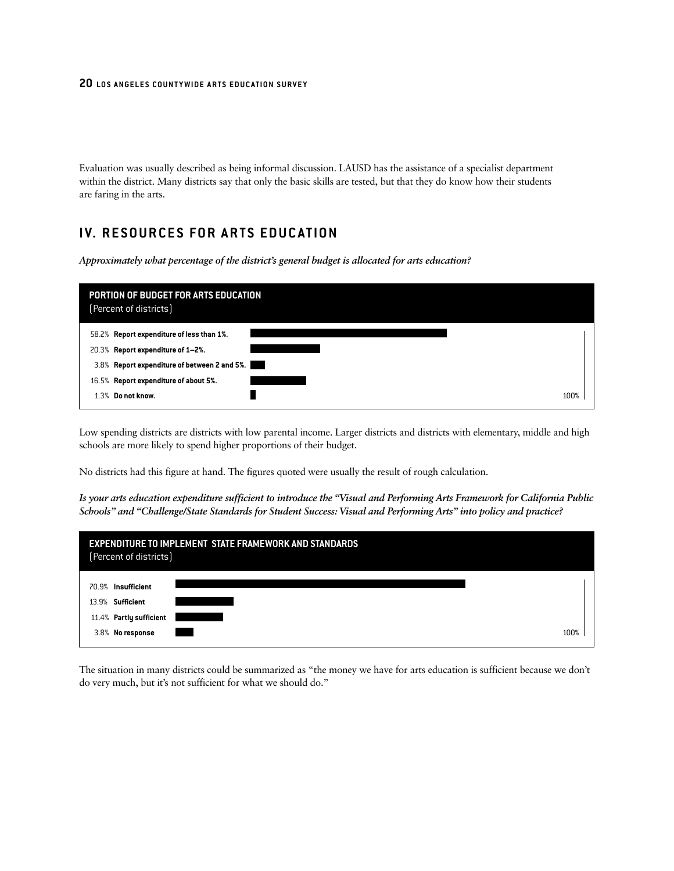Evaluation was usually described as being informal discussion. LAUSD has the assistance of a specialist department within the district. Many districts say that only the basic skills are tested, but that they do know how their students are faring in the arts.

# **IV. RESOURCES FOR ARTS EDUCATION**

*Approximately what percentage of the district's general budget is allocated for arts education?* 

| PORTION OF BUDGET FOR ARTS EDUCATION<br>(Percent of districts)                 |      |
|--------------------------------------------------------------------------------|------|
| 58.2% Report expenditure of less than 1%.<br>20.3% Report expenditure of 1-2%. |      |
| 3.8% Report expenditure of between 2 and 5%.                                   |      |
| 16.5% Report expenditure of about 5%.                                          |      |
| Do not know.<br>1.3%                                                           | 100% |

Low spending districts are districts with low parental income. Larger districts and districts with elementary, middle and high schools are more likely to spend higher proportions of their budget.

No districts had this figure at hand. The figures quoted were usually the result of rough calculation.

*Is your arts education expenditure sufficient to introduce the "Visual and Performing Arts Framework for California Public Schools" and "Challenge/State Standards for Student Success: Visual and Performing Arts" into policy and practice?* 



The situation in many districts could be summarized as "the money we have for arts education is sufficient because we don't do very much, but it's not sufficient for what we should do."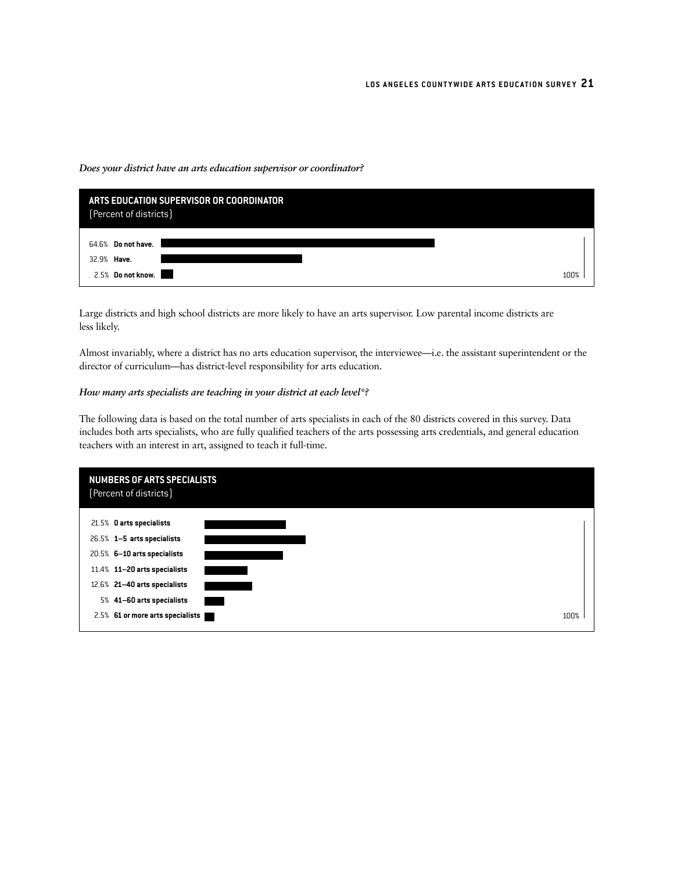#### *Does your district have an arts education supervisor or coordinator?*



Large districts and high school districts are more likely to have an arts supervisor. Low parental income districts are less likely.

Almost invariably, where a district has no arts education supervisor, the interviewee—i.e. the assistant superintendent or the director of curriculum—has district-level responsibility for arts education.

#### *How many arts specialists are teaching in your district at each level\*?*

The following data is based on the total number of arts specialists in each of the 80 districts covered in this survey. Data includes both arts specialists, who are fully qualified teachers of the arts possessing arts credentials, and general education teachers with an interest in art, assigned to teach it full-time.

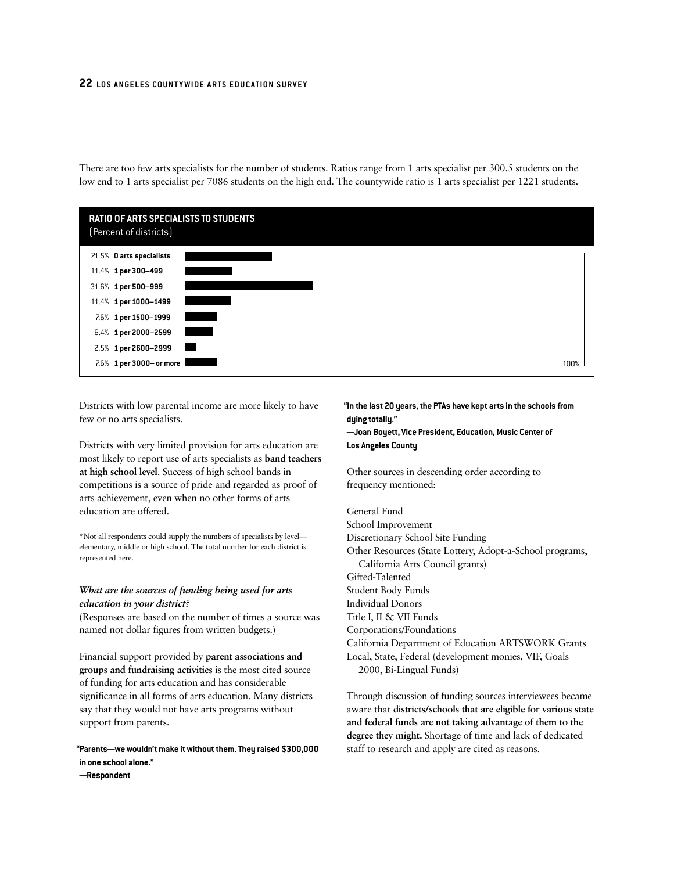There are too few arts specialists for the number of students. Ratios range from 1 arts specialist per 300.5 students on the low end to 1 arts specialist per 7086 students on the high end. The countywide ratio is 1 arts specialist per 1221 students.



Districts with low parental income are more likely to have few or no arts specialists.

Districts with very limited provision for arts education are most likely to report use of arts specialists as **band teachers at high school level**. Success of high school bands in competitions is a source of pride and regarded as proof of arts achievement, even when no other forms of arts education are offered.

\*Not all respondents could supply the numbers of specialists by level elementary, middle or high school. The total number for each district is represented here.

#### *What are the sources of funding being used for arts education in your district?*

(Responses are based on the number of times a source was named not dollar figures from written budgets.)

Financial support provided by **parent associations and groups and fundraising activities** is the most cited source of funding for arts education and has considerable significance in all forms of arts education. Many districts say that they would not have arts programs without support from parents.

**"Parents—we wouldn't make it without them. They raised \$300,000 in one school alone."**

**—Respondent**

### **"In the last 20 years, the PTAs have kept arts in the schools from dying totally."**

**—Joan Boyett, Vice President, Education, Music Center of Los Angeles County**

Other sources in descending order according to frequency mentioned:

#### General Fund

School Improvement Discretionary School Site Funding Other Resources (State Lottery, Adopt-a-School programs, California Arts Council grants) Gifted-Talented Student Body Funds Individual Donors Title I, II & VII Funds Corporations/Foundations California Department of Education ARTSWORK Grants Local, State, Federal (development monies, VIF, Goals 2000, Bi-Lingual Funds)

Through discussion of funding sources interviewees became aware that **districts/schools that are eligible for various state and federal funds are not taking advantage of them to the degree they might.** Shortage of time and lack of dedicated staff to research and apply are cited as reasons.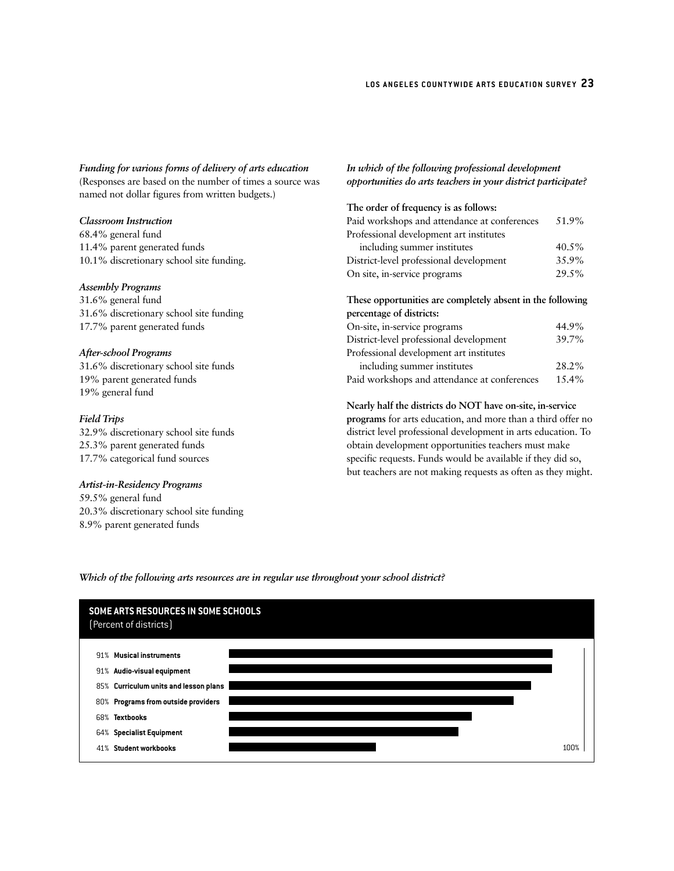*Funding for various forms of delivery of arts education* (Responses are based on the number of times a source was named not dollar figures from written budgets.)

#### *Classroom Instruction*

68.4% general fund 11.4% parent generated funds 10.1% discretionary school site funding.

#### *Assembly Programs*

31.6% general fund 31.6% discretionary school site funding 17.7% parent generated funds

#### *After-school Programs*

31.6% discretionary school site funds 19% parent generated funds 19% general fund

#### *Field Trips*

32.9% discretionary school site funds 25.3% parent generated funds 17.7% categorical fund sources

#### *Artist-in-Residency Programs*

59.5% general fund 20.3% discretionary school site funding 8.9% parent generated funds

#### *In which of the following professional development opportunities do arts teachers in your district participate?*

| The order of frequency is as follows:                      |       |
|------------------------------------------------------------|-------|
| Paid workshops and attendance at conferences               | 51.9% |
| Professional development art institutes                    |       |
| including summer institutes                                | 40.5% |
| District-level professional development                    | 35.9% |
| On site, in-service programs                               | 29.5% |
| These opportunities are completely absent in the following |       |
| percentage of districts:                                   |       |
| On-site, in-service programs                               | 44.9% |
| District-level professional development                    | 39.7% |

| Professional development art institutes      |          |
|----------------------------------------------|----------|
| including summer institutes                  | 28.2%    |
| Paid workshops and attendance at conferences | $15.4\%$ |

**Nearly half the districts do NOT have on-site, in-service programs** for arts education, and more than a third offer no district level professional development in arts education. To obtain development opportunities teachers must make specific requests. Funds would be available if they did so, but teachers are not making requests as often as they might.

#### *Which of the following arts resources are in regular use throughout your school district?*

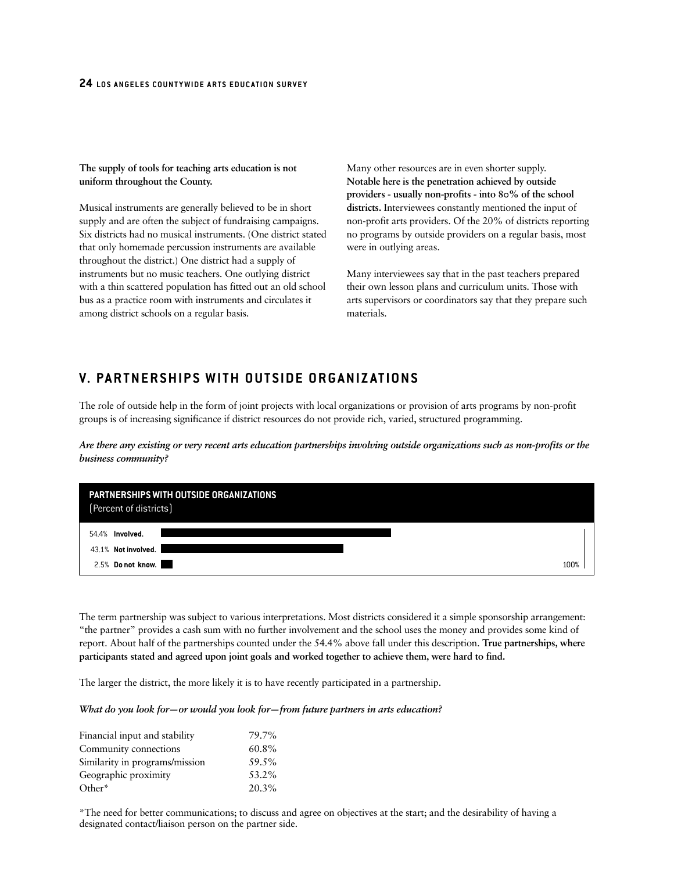**The supply of tools for teaching arts education is not uniform throughout the County.**

Musical instruments are generally believed to be in short supply and are often the subject of fundraising campaigns. Six districts had no musical instruments. (One district stated that only homemade percussion instruments are available throughout the district.) One district had a supply of instruments but no music teachers. One outlying district with a thin scattered population has fitted out an old school bus as a practice room with instruments and circulates it among district schools on a regular basis.

Many other resources are in even shorter supply. **Notable here is the penetration achieved by outside providers - usually non-profits - into 80% of the school districts.** Interviewees constantly mentioned the input of non-profit arts providers. Of the 20% of districts reporting no programs by outside providers on a regular basis, most were in outlying areas.

Many interviewees say that in the past teachers prepared their own lesson plans and curriculum units. Those with arts supervisors or coordinators say that they prepare such materials.

# **V. PARTNERSHIPS WITH OUTSIDE ORGANIZATIONS**

The role of outside help in the form of joint projects with local organizations or provision of arts programs by non-profit groups is of increasing significance if district resources do not provide rich, varied, structured programming.

*Are there any existing or very recent arts education partnerships involving outside organizations such as non-profits or the business community?* 



The term partnership was subject to various interpretations. Most districts considered it a simple sponsorship arrangement: "the partner" provides a cash sum with no further involvement and the school uses the money and provides some kind of report. About half of the partnerships counted under the 54.4% above fall under this description. **True partnerships, where participants stated and agreed upon joint goals and worked together to achieve them, were hard to find.**

The larger the district, the more likely it is to have recently participated in a partnership.

#### *What do you look for—or would you look for—from future partners in arts education?*

| Financial input and stability  | 79.7% |
|--------------------------------|-------|
| Community connections          | 60.8% |
| Similarity in programs/mission | 59.5% |
| Geographic proximity           | 53.2% |
| Other*                         | 20.3% |

\*The need for better communications; to discuss and agree on objectives at the start; and the desirability of having a designated contact/liaison person on the partner side.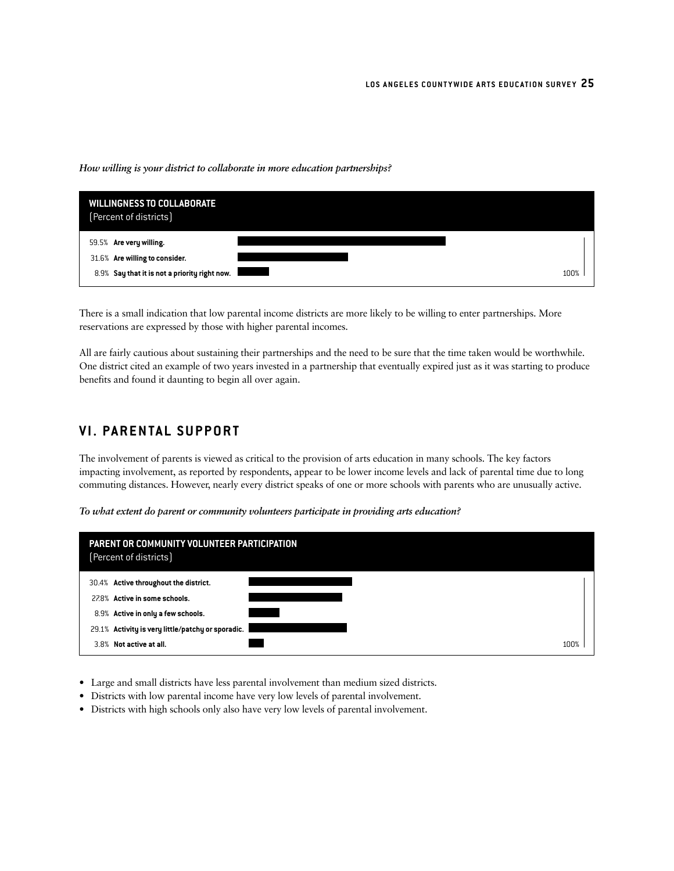#### *How willing is your district to collaborate in more education partnerships?*



There is a small indication that low parental income districts are more likely to be willing to enter partnerships. More reservations are expressed by those with higher parental incomes.

All are fairly cautious about sustaining their partnerships and the need to be sure that the time taken would be worthwhile. One district cited an example of two years invested in a partnership that eventually expired just as it was starting to produce benefits and found it daunting to begin all over again.

# **VI. PARENTAL SUPPORT**

The involvement of parents is viewed as critical to the provision of arts education in many schools. The key factors impacting involvement, as reported by respondents, appear to be lower income levels and lack of parental time due to long commuting distances. However, nearly every district speaks of one or more schools with parents who are unusually active.

*To what extent do parent or community volunteers participate in providing arts education?* 

| PARENT OR COMMUNITY VOLUNTEER PARTICIPATION<br>(Percent of districts) |  |
|-----------------------------------------------------------------------|--|
| 30.4% Active throughout the district.                                 |  |
| 27.8% Active in some schools.                                         |  |
| 8.9% Active in only a few schools.                                    |  |
| 29.1% Activity is very little/patchy or sporadic.                     |  |
| 3.8% Not active at all.                                               |  |

- Large and small districts have less parental involvement than medium sized districts.
- Districts with low parental income have very low levels of parental involvement.
- Districts with high schools only also have very low levels of parental involvement.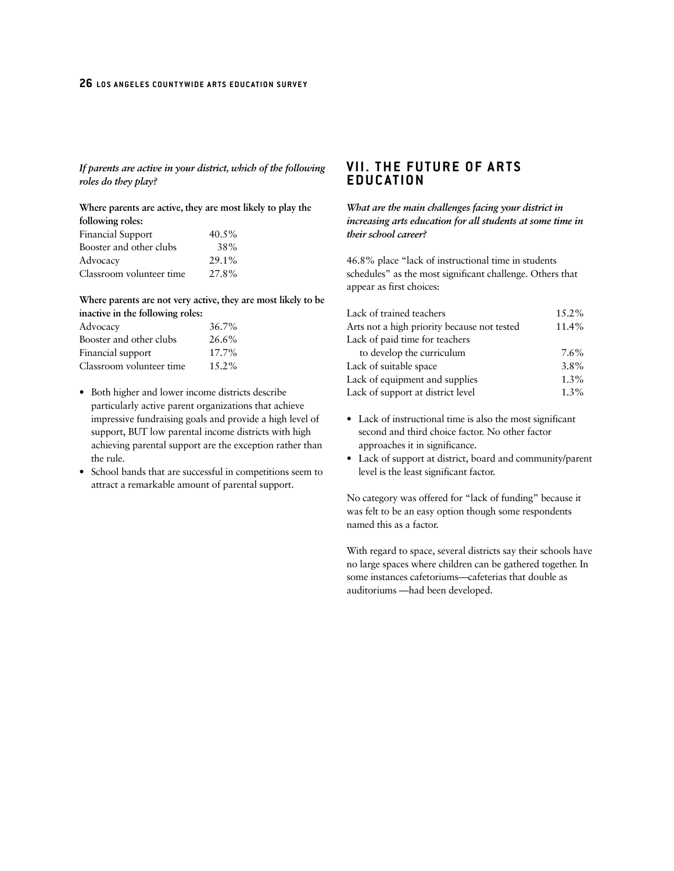*If parents are active in your district, which of the following roles do they play?* 

**Where parents are active, they are most likely to play the following roles:**  $5\%$ 

| Financial Support        | $40.5\%$ |
|--------------------------|----------|
| Booster and other clubs  | 38%      |
| Advocacv                 | 29.1%    |
| Classroom volunteer time | 27.8%    |

**Where parents are not very active, they are most likely to be inactive in the following roles:**

| Advocacy                 | 36.7%    |
|--------------------------|----------|
| Booster and other clubs  | $26.6\%$ |
| Financial support        | $17.7\%$ |
| Classroom volunteer time | $15.2\%$ |

- Both higher and lower income districts describe particularly active parent organizations that achieve impressive fundraising goals and provide a high level of support, BUT low parental income districts with high achieving parental support are the exception rather than the rule.
- School bands that are successful in competitions seem to attract a remarkable amount of parental support.

# **VII. THE FUTURE OF ARTS EDUCATION**

#### *What are the main challenges facing your district in increasing arts education for all students at some time in their school career?*

46.8% place "lack of instructional time in students schedules" as the most significant challenge. Others that appear as first choices:

| Lack of trained teachers                    | $15.2\%$ |
|---------------------------------------------|----------|
| Arts not a high priority because not tested | 11.4%    |
| Lack of paid time for teachers              |          |
| to develop the curriculum                   | 7.6%     |
| Lack of suitable space                      | $3.8\%$  |
| Lack of equipment and supplies              | $1.3\%$  |
| Lack of support at district level           | $1.3\%$  |

- Lack of instructional time is also the most significant second and third choice factor. No other factor approaches it in significance.
- Lack of support at district, board and community/parent level is the least significant factor.

No category was offered for "lack of funding" because it was felt to be an easy option though some respondents named this as a factor.

With regard to space, several districts say their schools have no large spaces where children can be gathered together. In some instances cafetoriums—cafeterias that double as auditoriums —had been developed.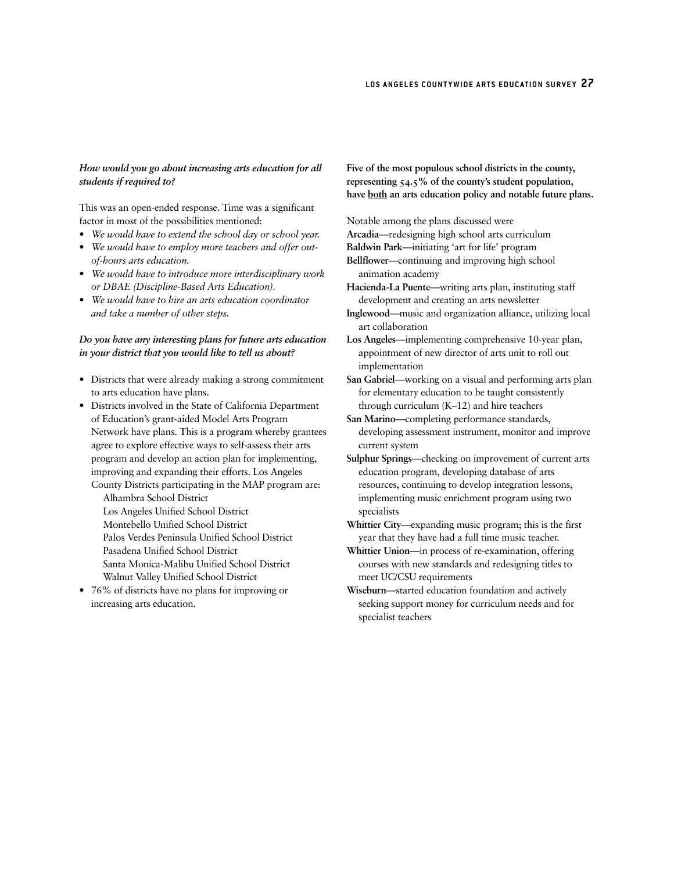#### *How would you go about increasing arts education for all students if required to?*

This was an open-ended response. Time was a significant factor in most of the possibilities mentioned:

- *We would have to extend the school day or school year.*
- *We would have to employ more teachers and offer outof-hours arts education.*
- *We would have to introduce more interdisciplinary work or DBAE (Discipline-Based Arts Education).*
- *We would have to hire an arts education coordinator and take a number of other steps.*

#### *Do you have any interesting plans for future arts education in your district that you would like to tell us about?*

- Districts that were already making a strong commitment to arts education have plans.
- Districts involved in the State of California Department of Education's grant-aided Model Arts Program Network have plans. This is a program whereby grantees agree to explore effective ways to self-assess their arts program and develop an action plan for implementing, improving and expanding their efforts. Los Angeles County Districts participating in the MAP program are:

Alhambra School District Los Angeles Unified School District Montebello Unified School District Palos Verdes Peninsula Unified School District Pasadena Unified School District Santa Monica-Malibu Unified School District Walnut Valley Unified School District

• 76% of districts have no plans for improving or increasing arts education.

**Five of the most populous school districts in the county, representing 54.5% of the county's student population, have both an arts education policy and notable future plans.**

Notable among the plans discussed were

**Arcadia**—redesigning high school arts curriculum

**Baldwin Park**—initiating 'art for life' program

- **Bellflower**—continuing and improving high school animation academy
- **Hacienda-La Puente**—writing arts plan, instituting staff development and creating an arts newsletter
- **Inglewood**—music and organization alliance, utilizing local art collaboration

**Los Angeles**—implementing comprehensive 10-year plan, appointment of new director of arts unit to roll out implementation

**San Gabriel**—working on a visual and performing arts plan for elementary education to be taught consistently through curriculum (K–12) and hire teachers

**San Marino**—completing performance standards, developing assessment instrument, monitor and improve current system

**Sulphur Springs**—checking on improvement of current arts education program, developing database of arts resources, continuing to develop integration lessons, implementing music enrichment program using two specialists

**Whittier City**—expanding music program; this is the first year that they have had a full time music teacher.

**Whittier Union**—in process of re-examination, offering courses with new standards and redesigning titles to meet UC/CSU requirements

**Wiseburn**—started education foundation and actively seeking support money for curriculum needs and for specialist teachers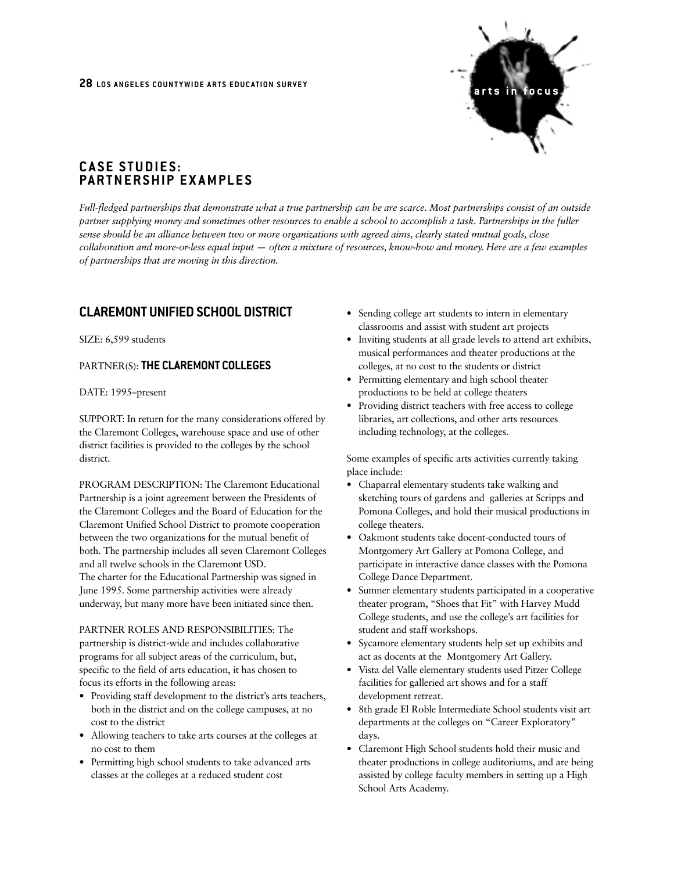

# **CASE STUDIES: PARTNERSHIP EXAMPLES**

*Full-fledged partnerships that demonstrate what a true partnership can be are scarce. Most partnerships consist of an outside partner supplying money and sometimes other resources to enable a school to accomplish a task. Partnerships in the fuller sense should be an alliance between two or more organizations with agreed aims, clearly stated mutual goals, close collaboration and more-or-less equal input — often a mixture of resources, know-how and money. Here are a few examples of partnerships that are moving in this direction.*

# **CLAREMONT UNIFIED SCHOOL DISTRICT**

SIZE: 6,599 students

#### PARTNER(S): **THE CLAREMONT COLLEGES**

DATE: 1995–present

SUPPORT: In return for the many considerations offered by the Claremont Colleges, warehouse space and use of other district facilities is provided to the colleges by the school district.

PROGRAM DESCRIPTION: The Claremont Educational Partnership is a joint agreement between the Presidents of the Claremont Colleges and the Board of Education for the Claremont Unified School District to promote cooperation between the two organizations for the mutual benefit of both. The partnership includes all seven Claremont Colleges and all twelve schools in the Claremont USD. The charter for the Educational Partnership was signed in June 1995. Some partnership activities were already underway, but many more have been initiated since then.

PARTNER ROLES AND RESPONSIBILITIES: The partnership is district-wide and includes collaborative programs for all subject areas of the curriculum, but, specific to the field of arts education, it has chosen to focus its efforts in the following areas:

- Providing staff development to the district's arts teachers, both in the district and on the college campuses, at no cost to the district
- Allowing teachers to take arts courses at the colleges at no cost to them
- Permitting high school students to take advanced arts classes at the colleges at a reduced student cost
- Sending college art students to intern in elementary classrooms and assist with student art projects
- Inviting students at all grade levels to attend art exhibits, musical performances and theater productions at the colleges, at no cost to the students or district
- Permitting elementary and high school theater productions to be held at college theaters
- Providing district teachers with free access to college libraries, art collections, and other arts resources including technology, at the colleges.

Some examples of specific arts activities currently taking place include:

- Chaparral elementary students take walking and sketching tours of gardens and galleries at Scripps and Pomona Colleges, and hold their musical productions in college theaters.
- Oakmont students take docent-conducted tours of Montgomery Art Gallery at Pomona College, and participate in interactive dance classes with the Pomona College Dance Department.
- Sumner elementary students participated in a cooperative theater program, "Shoes that Fit" with Harvey Mudd College students, and use the college's art facilities for student and staff workshops.
- Sycamore elementary students help set up exhibits and act as docents at the Montgomery Art Gallery.
- Vista del Valle elementary students used Pitzer College facilities for galleried art shows and for a staff development retreat.
- 8th grade El Roble Intermediate School students visit art departments at the colleges on "Career Exploratory" days.
- Claremont High School students hold their music and theater productions in college auditoriums, and are being assisted by college faculty members in setting up a High School Arts Academy.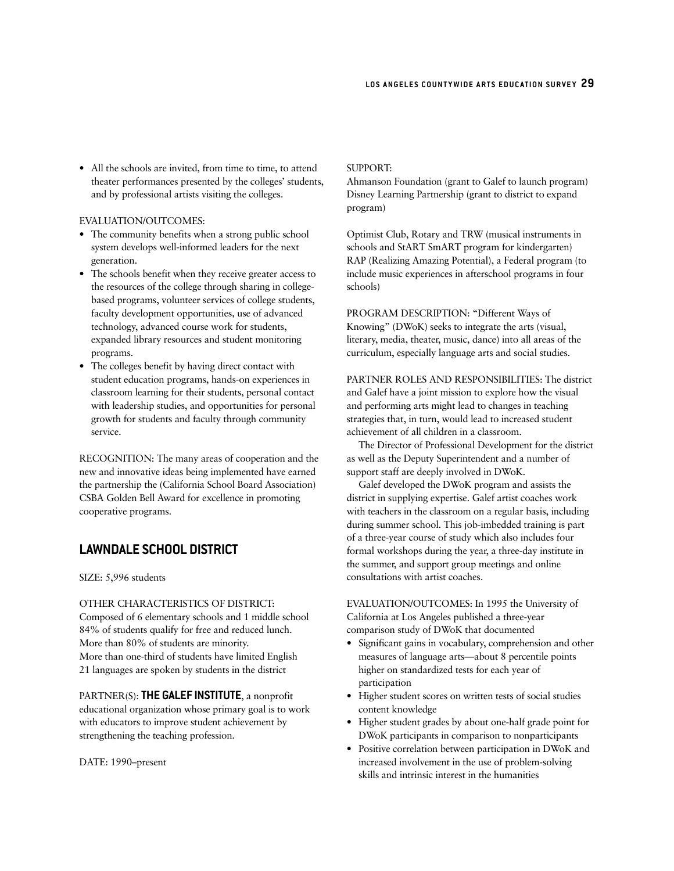• All the schools are invited, from time to time, to attend theater performances presented by the colleges' students, and by professional artists visiting the colleges.

#### EVALUATION/OUTCOMES:

- The community benefits when a strong public school system develops well-informed leaders for the next generation.
- The schools benefit when they receive greater access to the resources of the college through sharing in collegebased programs, volunteer services of college students, faculty development opportunities, use of advanced technology, advanced course work for students, expanded library resources and student monitoring programs.
- The colleges benefit by having direct contact with student education programs, hands-on experiences in classroom learning for their students, personal contact with leadership studies, and opportunities for personal growth for students and faculty through community service.

RECOGNITION: The many areas of cooperation and the new and innovative ideas being implemented have earned the partnership the (California School Board Association) CSBA Golden Bell Award for excellence in promoting cooperative programs.

## **LAWNDALE SCHOOL DISTRICT**

SIZE: 5,996 students

OTHER CHARACTERISTICS OF DISTRICT: Composed of 6 elementary schools and 1 middle school 84% of students qualify for free and reduced lunch. More than 80% of students are minority. More than one-third of students have limited English 21 languages are spoken by students in the district

PARTNER(S): **THE GALEF INSTITUTE**, a nonprofit educational organization whose primary goal is to work with educators to improve student achievement by strengthening the teaching profession.

DATE: 1990–present

#### SUPPORT:

Ahmanson Foundation (grant to Galef to launch program) Disney Learning Partnership (grant to district to expand program)

Optimist Club, Rotary and TRW (musical instruments in schools and StART SmART program for kindergarten) RAP (Realizing Amazing Potential), a Federal program (to include music experiences in afterschool programs in four schools)

PROGRAM DESCRIPTION: "Different Ways of Knowing" (DWoK) seeks to integrate the arts (visual, literary, media, theater, music, dance) into all areas of the curriculum, especially language arts and social studies.

PARTNER ROLES AND RESPONSIBILITIES: The district and Galef have a joint mission to explore how the visual and performing arts might lead to changes in teaching strategies that, in turn, would lead to increased student achievement of all children in a classroom.

The Director of Professional Development for the district as well as the Deputy Superintendent and a number of support staff are deeply involved in DWoK.

Galef developed the DWoK program and assists the district in supplying expertise. Galef artist coaches work with teachers in the classroom on a regular basis, including during summer school. This job-imbedded training is part of a three-year course of study which also includes four formal workshops during the year, a three-day institute in the summer, and support group meetings and online consultations with artist coaches.

EVALUATION/OUTCOMES: In 1995 the University of California at Los Angeles published a three-year comparison study of DWoK that documented

- Significant gains in vocabulary, comprehension and other measures of language arts—about 8 percentile points higher on standardized tests for each year of participation
- Higher student scores on written tests of social studies content knowledge
- Higher student grades by about one-half grade point for DWoK participants in comparison to nonparticipants
- Positive correlation between participation in DWoK and increased involvement in the use of problem-solving skills and intrinsic interest in the humanities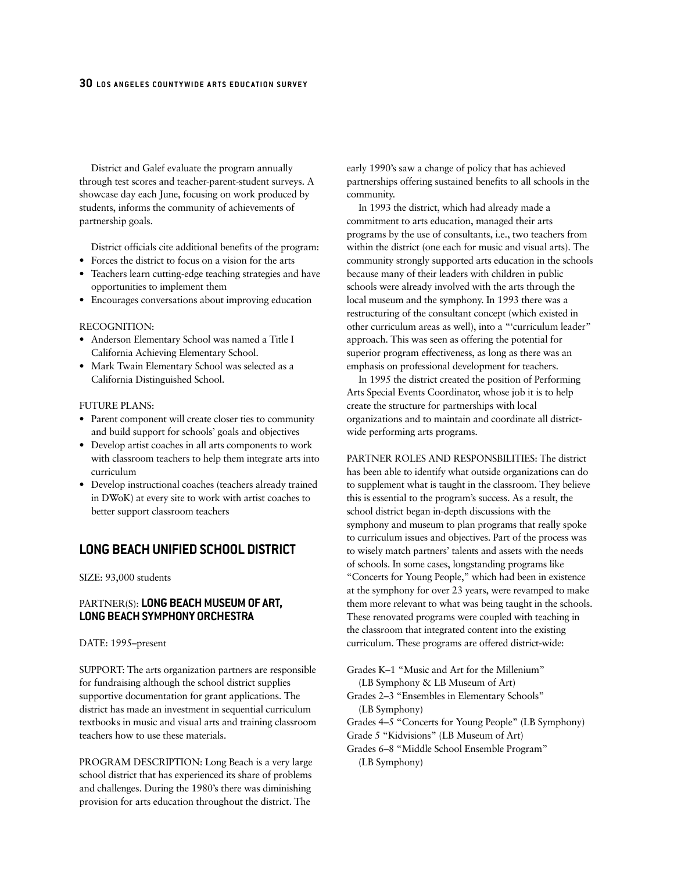District and Galef evaluate the program annually through test scores and teacher-parent-student surveys. A showcase day each June, focusing on work produced by students, informs the community of achievements of partnership goals.

District officials cite additional benefits of the program:

- Forces the district to focus on a vision for the arts
- Teachers learn cutting-edge teaching strategies and have opportunities to implement them
- Encourages conversations about improving education

#### RECOGNITION:

- Anderson Elementary School was named a Title I California Achieving Elementary School.
- Mark Twain Elementary School was selected as a California Distinguished School.

#### FUTURE PLANS:

- Parent component will create closer ties to community and build support for schools' goals and objectives
- Develop artist coaches in all arts components to work with classroom teachers to help them integrate arts into curriculum
- Develop instructional coaches (teachers already trained in DWoK) at every site to work with artist coaches to better support classroom teachers

#### **LONG BEACH UNIFIED SCHOOL DISTRICT**

SIZE: 93,000 students

#### PARTNER(S): **LONG BEACH MUSEUM OF ART, LONG BEACH SYMPHONY ORCHESTRA**

#### DATE: 1995–present

SUPPORT: The arts organization partners are responsible for fundraising although the school district supplies supportive documentation for grant applications. The district has made an investment in sequential curriculum textbooks in music and visual arts and training classroom teachers how to use these materials.

PROGRAM DESCRIPTION: Long Beach is a very large school district that has experienced its share of problems and challenges. During the 1980's there was diminishing provision for arts education throughout the district. The

early 1990's saw a change of policy that has achieved partnerships offering sustained benefits to all schools in the community.

In 1993 the district, which had already made a commitment to arts education, managed their arts programs by the use of consultants, i.e., two teachers from within the district (one each for music and visual arts). The community strongly supported arts education in the schools because many of their leaders with children in public schools were already involved with the arts through the local museum and the symphony. In 1993 there was a restructuring of the consultant concept (which existed in other curriculum areas as well), into a "'curriculum leader" approach. This was seen as offering the potential for superior program effectiveness, as long as there was an emphasis on professional development for teachers.

In 1995 the district created the position of Performing Arts Special Events Coordinator, whose job it is to help create the structure for partnerships with local organizations and to maintain and coordinate all districtwide performing arts programs.

PARTNER ROLES AND RESPONSBILITIES: The district has been able to identify what outside organizations can do to supplement what is taught in the classroom. They believe this is essential to the program's success. As a result, the school district began in-depth discussions with the symphony and museum to plan programs that really spoke to curriculum issues and objectives. Part of the process was to wisely match partners' talents and assets with the needs of schools. In some cases, longstanding programs like "Concerts for Young People," which had been in existence at the symphony for over 23 years, were revamped to make them more relevant to what was being taught in the schools. These renovated programs were coupled with teaching in the classroom that integrated content into the existing curriculum. These programs are offered district-wide:

Grades K–1 "Music and Art for the Millenium" (LB Symphony & LB Museum of Art) Grades 2–3 "Ensembles in Elementary Schools"

(LB Symphony)

Grades 4–5 "Concerts for Young People" (LB Symphony) Grade 5 "Kidvisions" (LB Museum of Art)

Grades 6–8 "Middle School Ensemble Program" (LB Symphony)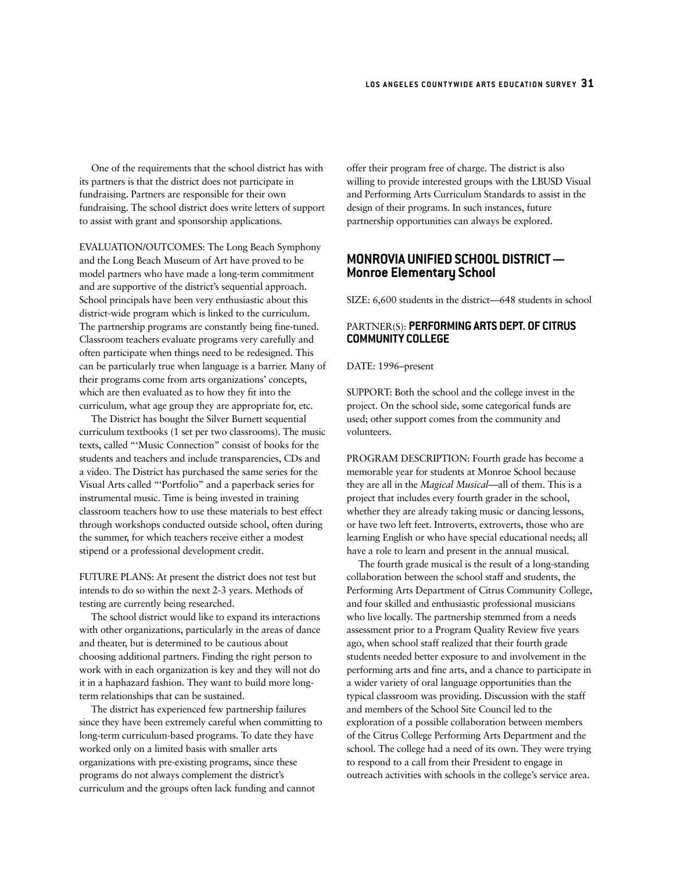One of the requirements that the school district has with its partners is that the district does not participate in fundraising. Partners are responsible for their own fundraising. The school district does write letters of support to assist with grant and sponsorship applications.

EVALUATION/OUTCOMES: The Long Beach Symphony and the Long Beach Museum of Art have proved to be model partners who have made a long-term commitment and are supportive of the district's sequential approach. School principals have been very enthusiastic about this district-wide program which is linked to the curriculum. The partnership programs are constantly being fine-tuned. Classroom teachers evaluate programs very carefully and often participate when things need to be redesigned. This can be particularly true when language is a barrier. Many of their programs come from arts organizations' concepts, which are then evaluated as to how they fit into the curriculum, what age group they are appropriate for, etc.

The District has bought the Silver Burnett sequential curriculum textbooks (1 set per two classrooms). The music texts, called "'Music Connection" consist of books for the students and teachers and include transparencies, CDs and a video. The District has purchased the same series for the Visual Arts called "'Portfolio" and a paperback series for instrumental music. Time is being invested in training classroom teachers how to use these materials to best effect through workshops conducted outside school, often during the summer, for which teachers receive either a modest stipend or a professional development credit.

FUTURE PLANS: At present the district does not test but intends to do so within the next 2-3 years. Methods of testing are currently being researched.

The school district would like to expand its interactions with other organizations, particularly in the areas of dance and theater, but is determined to be cautious about choosing additional partners. Finding the right person to work with in each organization is key and they will not do it in a haphazard fashion. They want to build more longterm relationships that can be sustained.

The district has experienced few partnership failures since they have been extremely careful when committing to long-term curriculum-based programs. To date they have worked only on a limited basis with smaller arts organizations with pre-existing programs, since these programs do not always complement the district's curriculum and the groups often lack funding and cannot

offer their program free of charge. The district is also willing to provide interested groups with the LBUSD Visual and Performing Arts Curriculum Standards to assist in the design of their programs. In such instances, future partnership opportunities can always be explored.

# **MONROVIA UNIFIED SCHOOL DISTRICT — Monroe Elementary School**

SIZE: 6,600 students in the district—648 students in school

### PARTNER(S): **PERFORMING ARTS DEPT. OF CITRUS COMMUNITY COLLEGE**

DATE: 1996–present

SUPPORT: Both the school and the college invest in the project. On the school side, some categorical funds are used; other support comes from the community and volunteers.

PROGRAM DESCRIPTION: Fourth grade has become a memorable year for students at Monroe School because they are all in the *Magical Musical*—all of them. This is a project that includes every fourth grader in the school, whether they are already taking music or dancing lessons, or have two left feet. Introverts, extroverts, those who are learning English or who have special educational needs; all have a role to learn and present in the annual musical.

The fourth grade musical is the result of a long-standing collaboration between the school staff and students, the Performing Arts Department of Citrus Community College, and four skilled and enthusiastic professional musicians who live locally. The partnership stemmed from a needs assessment prior to a Program Quality Review five years ago, when school staff realized that their fourth grade students needed better exposure to and involvement in the performing arts and fine arts, and a chance to participate in a wider variety of oral language opportunities than the typical classroom was providing. Discussion with the staff and members of the School Site Council led to the exploration of a possible collaboration between members of the Citrus College Performing Arts Department and the school. The college had a need of its own. They were trying to respond to a call from their President to engage in outreach activities with schools in the college's service area.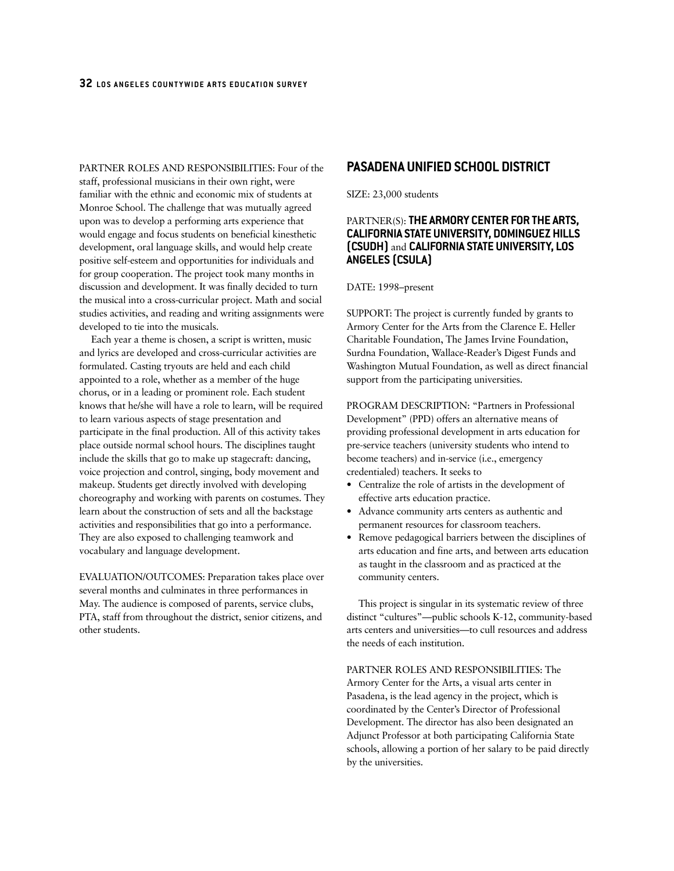PARTNER ROLES AND RESPONSIBILITIES: Four of the staff, professional musicians in their own right, were familiar with the ethnic and economic mix of students at Monroe School. The challenge that was mutually agreed upon was to develop a performing arts experience that would engage and focus students on beneficial kinesthetic development, oral language skills, and would help create positive self-esteem and opportunities for individuals and for group cooperation. The project took many months in discussion and development. It was finally decided to turn the musical into a cross-curricular project. Math and social studies activities, and reading and writing assignments were developed to tie into the musicals.

Each year a theme is chosen, a script is written, music and lyrics are developed and cross-curricular activities are formulated. Casting tryouts are held and each child appointed to a role, whether as a member of the huge chorus, or in a leading or prominent role. Each student knows that he/she will have a role to learn, will be required to learn various aspects of stage presentation and participate in the final production. All of this activity takes place outside normal school hours. The disciplines taught include the skills that go to make up stagecraft: dancing, voice projection and control, singing, body movement and makeup. Students get directly involved with developing choreography and working with parents on costumes. They learn about the construction of sets and all the backstage activities and responsibilities that go into a performance. They are also exposed to challenging teamwork and vocabulary and language development.

EVALUATION/OUTCOMES: Preparation takes place over several months and culminates in three performances in May. The audience is composed of parents, service clubs, PTA, staff from throughout the district, senior citizens, and other students.

## **PASADENA UNIFIED SCHOOL DISTRICT**

SIZE: 23,000 students

### PARTNER(S): **THE ARMORY CENTER FOR THE ARTS, CALIFORNIA STATE UNIVERSITY, DOMINGUEZ HILLS (CSUDH)** and **CALIFORNIA STATE UNIVERSITY, LOS ANGELES (CSULA)**

#### DATE: 1998–present

SUPPORT: The project is currently funded by grants to Armory Center for the Arts from the Clarence E. Heller Charitable Foundation, The James Irvine Foundation, Surdna Foundation, Wallace-Reader's Digest Funds and Washington Mutual Foundation, as well as direct financial support from the participating universities.

PROGRAM DESCRIPTION: "Partners in Professional Development" (PPD) offers an alternative means of providing professional development in arts education for pre-service teachers (university students who intend to become teachers) and in-service (i.e., emergency credentialed) teachers. It seeks to

- Centralize the role of artists in the development of effective arts education practice.
- Advance community arts centers as authentic and permanent resources for classroom teachers.
- Remove pedagogical barriers between the disciplines of arts education and fine arts, and between arts education as taught in the classroom and as practiced at the community centers.

This project is singular in its systematic review of three distinct "cultures"—public schools K-12, community-based arts centers and universities—to cull resources and address the needs of each institution.

PARTNER ROLES AND RESPONSIBILITIES: The Armory Center for the Arts, a visual arts center in Pasadena, is the lead agency in the project, which is coordinated by the Center's Director of Professional Development. The director has also been designated an Adjunct Professor at both participating California State schools, allowing a portion of her salary to be paid directly by the universities.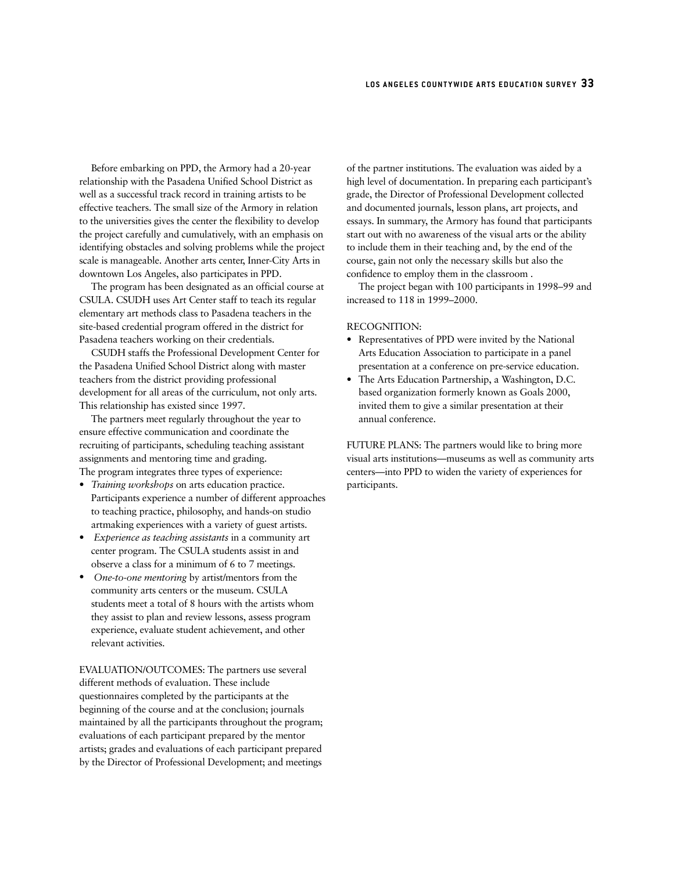Before embarking on PPD, the Armory had a 20-year relationship with the Pasadena Unified School District as well as a successful track record in training artists to be effective teachers. The small size of the Armory in relation to the universities gives the center the flexibility to develop the project carefully and cumulatively, with an emphasis on identifying obstacles and solving problems while the project scale is manageable. Another arts center, Inner-City Arts in downtown Los Angeles, also participates in PPD.

The program has been designated as an official course at CSULA. CSUDH uses Art Center staff to teach its regular elementary art methods class to Pasadena teachers in the site-based credential program offered in the district for Pasadena teachers working on their credentials.

CSUDH staffs the Professional Development Center for the Pasadena Unified School District along with master teachers from the district providing professional development for all areas of the curriculum, not only arts. This relationship has existed since 1997.

The partners meet regularly throughout the year to ensure effective communication and coordinate the recruiting of participants, scheduling teaching assistant assignments and mentoring time and grading. The program integrates three types of experience:

- *Training workshops* on arts education practice. Participants experience a number of different approaches to teaching practice, philosophy, and hands-on studio artmaking experiences with a variety of guest artists.
- *Experience as teaching assistants* in a community art center program. The CSULA students assist in and observe a class for a minimum of 6 to 7 meetings.
- *One-to-one mentoring* by artist/mentors from the community arts centers or the museum. CSULA students meet a total of 8 hours with the artists whom they assist to plan and review lessons, assess program experience, evaluate student achievement, and other relevant activities.

EVALUATION/OUTCOMES: The partners use several different methods of evaluation. These include questionnaires completed by the participants at the beginning of the course and at the conclusion; journals maintained by all the participants throughout the program; evaluations of each participant prepared by the mentor artists; grades and evaluations of each participant prepared by the Director of Professional Development; and meetings

of the partner institutions. The evaluation was aided by a high level of documentation. In preparing each participant's grade, the Director of Professional Development collected and documented journals, lesson plans, art projects, and essays. In summary, the Armory has found that participants start out with no awareness of the visual arts or the ability to include them in their teaching and, by the end of the course, gain not only the necessary skills but also the confidence to employ them in the classroom .

The project began with 100 participants in 1998–99 and increased to 118 in 1999–2000.

#### RECOGNITION:

- Representatives of PPD were invited by the National Arts Education Association to participate in a panel presentation at a conference on pre-service education.
- The Arts Education Partnership, a Washington, D.C. based organization formerly known as Goals 2000, invited them to give a similar presentation at their annual conference.

FUTURE PLANS: The partners would like to bring more visual arts institutions—museums as well as community arts centers—into PPD to widen the variety of experiences for participants.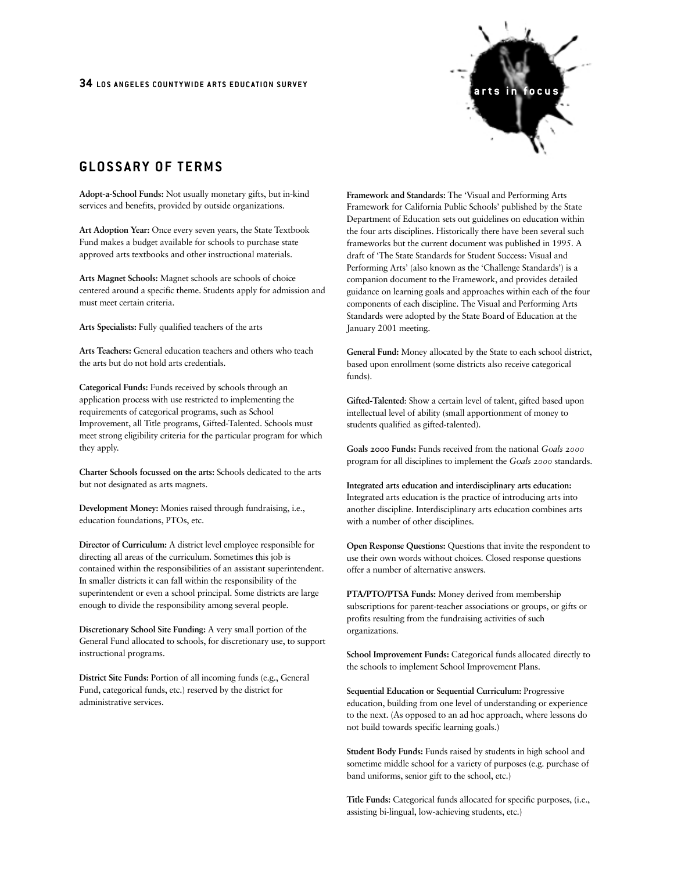

# **GLOSSARY OF TERMS**

**Adopt-a-School Funds:** Not usually monetary gifts, but in-kind services and benefits, provided by outside organizations.

**Art Adoption Year:** Once every seven years, the State Textbook Fund makes a budget available for schools to purchase state approved arts textbooks and other instructional materials.

**Arts Magnet Schools:** Magnet schools are schools of choice centered around a specific theme. Students apply for admission and must meet certain criteria.

**Arts Specialists:** Fully qualified teachers of the arts

**Arts Teachers:** General education teachers and others who teach the arts but do not hold arts credentials.

**Categorical Funds:** Funds received by schools through an application process with use restricted to implementing the requirements of categorical programs, such as School Improvement, all Title programs, Gifted-Talented. Schools must meet strong eligibility criteria for the particular program for which they apply.

**Charter Schools focussed on the arts:** Schools dedicated to the arts but not designated as arts magnets.

**Development Money:** Monies raised through fundraising, i.e., education foundations, PTOs, etc.

**Director of Curriculum:** A district level employee responsible for directing all areas of the curriculum. Sometimes this job is contained within the responsibilities of an assistant superintendent. In smaller districts it can fall within the responsibility of the superintendent or even a school principal. Some districts are large enough to divide the responsibility among several people.

**Discretionary School Site Funding:** A very small portion of the General Fund allocated to schools, for discretionary use, to support instructional programs.

**District Site Funds:** Portion of all incoming funds (e.g., General Fund, categorical funds, etc.) reserved by the district for administrative services.

**Framework and Standards:** The 'Visual and Performing Arts Framework for California Public Schools' published by the State Department of Education sets out guidelines on education within the four arts disciplines. Historically there have been several such frameworks but the current document was published in 1995. A draft of 'The State Standards for Student Success: Visual and Performing Arts' (also known as the 'Challenge Standards') is a companion document to the Framework, and provides detailed guidance on learning goals and approaches within each of the four components of each discipline. The Visual and Performing Arts Standards were adopted by the State Board of Education at the January 2001 meeting.

**General Fund:** Money allocated by the State to each school district, based upon enrollment (some districts also receive categorical funds).

**Gifted-Talented**: Show a certain level of talent, gifted based upon intellectual level of ability (small apportionment of money to students qualified as gifted-talented).

**Goals 2000 Funds:** Funds received from the national *Goals 2000* program for all disciplines to implement the *Goals 2000* standards.

**Integrated arts education and interdisciplinary arts education:** Integrated arts education is the practice of introducing arts into another discipline. Interdisciplinary arts education combines arts with a number of other disciplines.

**Open Response Questions:** Questions that invite the respondent to use their own words without choices. Closed response questions offer a number of alternative answers.

**PTA/PTO/PTSA Funds:** Money derived from membership subscriptions for parent-teacher associations or groups, or gifts or profits resulting from the fundraising activities of such organizations.

**School Improvement Funds:** Categorical funds allocated directly to the schools to implement School Improvement Plans.

**Sequential Education or Sequential Curriculum:** Progressive education, building from one level of understanding or experience to the next. (As opposed to an ad hoc approach, where lessons do not build towards specific learning goals.)

**Student Body Funds:** Funds raised by students in high school and sometime middle school for a variety of purposes (e.g. purchase of band uniforms, senior gift to the school, etc.)

**Title Funds:** Categorical funds allocated for specific purposes, (i.e., assisting bi-lingual, low-achieving students, etc.)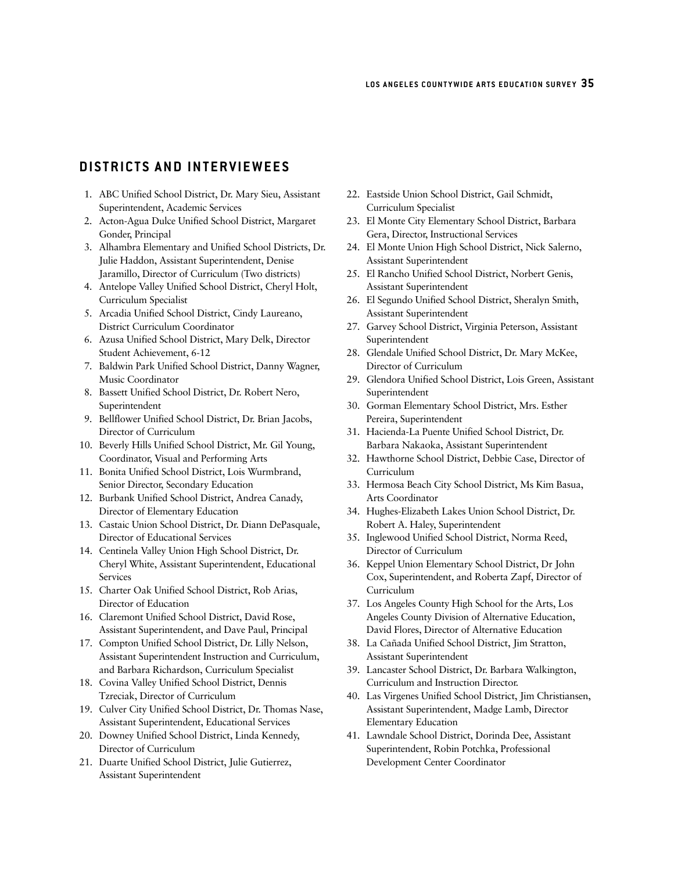# **DISTRICTS AND INTERVIEWEES**

- 1. ABC Unified School District, Dr. Mary Sieu, Assistant Superintendent, Academic Services
- 2. Acton-Agua Dulce Unified School District, Margaret Gonder, Principal
- 3. Alhambra Elementary and Unified School Districts, Dr. Julie Haddon, Assistant Superintendent, Denise Jaramillo, Director of Curriculum (Two districts)
- 4. Antelope Valley Unified School District, Cheryl Holt, Curriculum Specialist
- 5. Arcadia Unified School District, Cindy Laureano, District Curriculum Coordinator
- 6. Azusa Unified School District, Mary Delk, Director Student Achievement, 6-12
- 7. Baldwin Park Unified School District, Danny Wagner, Music Coordinator
- 8. Bassett Unified School District, Dr. Robert Nero, Superintendent
- 9. Bellflower Unified School District, Dr. Brian Jacobs, Director of Curriculum
- 10. Beverly Hills Unified School District, Mr. Gil Young, Coordinator, Visual and Performing Arts
- 11. Bonita Unified School District, Lois Wurmbrand, Senior Director, Secondary Education
- 12. Burbank Unified School District, Andrea Canady, Director of Elementary Education
- 13. Castaic Union School District, Dr. Diann DePasquale, Director of Educational Services
- 14. Centinela Valley Union High School District, Dr. Cheryl White, Assistant Superintendent, Educational Services
- 15. Charter Oak Unified School District, Rob Arias, Director of Education
- 16. Claremont Unified School District, David Rose, Assistant Superintendent, and Dave Paul, Principal
- 17. Compton Unified School District, Dr. Lilly Nelson, Assistant Superintendent Instruction and Curriculum, and Barbara Richardson, Curriculum Specialist
- 18. Covina Valley Unified School District, Dennis Tzreciak, Director of Curriculum
- 19. Culver City Unified School District, Dr. Thomas Nase, Assistant Superintendent, Educational Services
- 20. Downey Unified School District, Linda Kennedy, Director of Curriculum
- 21. Duarte Unified School District, Julie Gutierrez, Assistant Superintendent
- 22. Eastside Union School District, Gail Schmidt, Curriculum Specialist
- 23. El Monte City Elementary School District, Barbara Gera, Director, Instructional Services
- 24. El Monte Union High School District, Nick Salerno, Assistant Superintendent
- 25. El Rancho Unified School District, Norbert Genis, Assistant Superintendent
- 26. El Segundo Unified School District, Sheralyn Smith, Assistant Superintendent
- 27. Garvey School District, Virginia Peterson, Assistant Superintendent
- 28. Glendale Unified School District, Dr. Mary McKee, Director of Curriculum
- 29. Glendora Unified School District, Lois Green, Assistant Superintendent
- 30. Gorman Elementary School District, Mrs. Esther Pereira, Superintendent
- 31. Hacienda-La Puente Unified School District, Dr. Barbara Nakaoka, Assistant Superintendent
- 32. Hawthorne School District, Debbie Case, Director of Curriculum
- 33. Hermosa Beach City School District, Ms Kim Basua, Arts Coordinator
- 34. Hughes-Elizabeth Lakes Union School District, Dr. Robert A. Haley, Superintendent
- 35. Inglewood Unified School District, Norma Reed, Director of Curriculum
- 36. Keppel Union Elementary School District, Dr John Cox, Superintendent, and Roberta Zapf, Director of Curriculum
- 37. Los Angeles County High School for the Arts, Los Angeles County Division of Alternative Education, David Flores, Director of Alternative Education
- 38. La Cañada Unified School District, Jim Stratton, Assistant Superintendent
- 39. Lancaster School District, Dr. Barbara Walkington, Curriculum and Instruction Director.
- 40. Las Virgenes Unified School District, Jim Christiansen, Assistant Superintendent, Madge Lamb, Director Elementary Education
- 41. Lawndale School District, Dorinda Dee, Assistant Superintendent, Robin Potchka, Professional Development Center Coordinator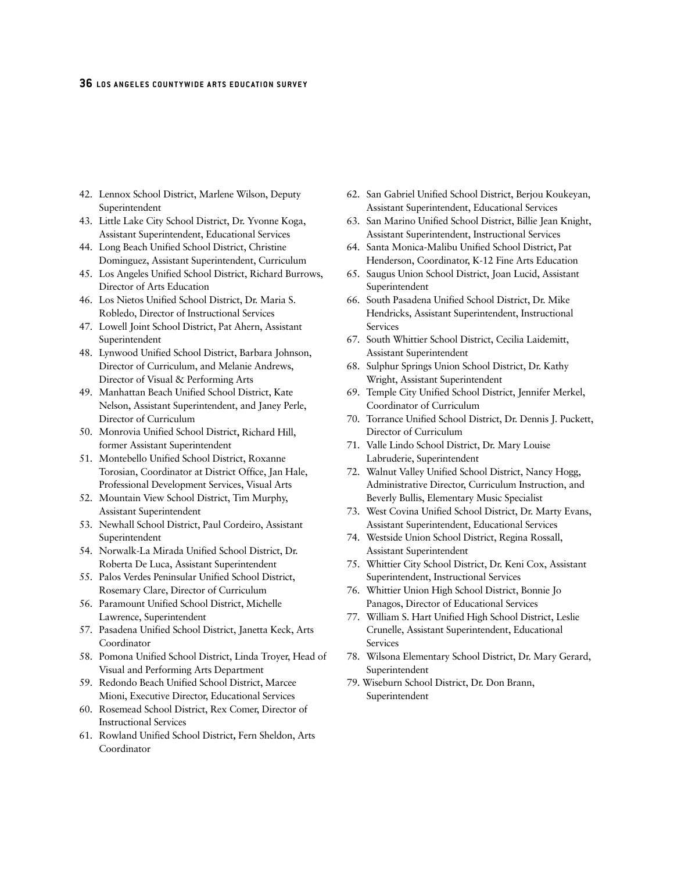- 42. Lennox School District, Marlene Wilson, Deputy Superintendent
- 43. Little Lake City School District, Dr. Yvonne Koga, Assistant Superintendent, Educational Services
- 44. Long Beach Unified School District, Christine Dominguez, Assistant Superintendent, Curriculum
- 45. Los Angeles Unified School District, Richard Burrows, Director of Arts Education
- 46. Los Nietos Unified School District, Dr. Maria S. Robledo, Director of Instructional Services
- 47. Lowell Joint School District, Pat Ahern, Assistant Superintendent
- 48. Lynwood Unified School District, Barbara Johnson, Director of Curriculum, and Melanie Andrews, Director of Visual & Performing Arts
- 49. Manhattan Beach Unified School District, Kate Nelson, Assistant Superintendent, and Janey Perle, Director of Curriculum
- 50. Monrovia Unified School District**,** Richard Hill, former Assistant Superintendent
- 51. Montebello Unified School District, Roxanne Torosian, Coordinator at District Office, Jan Hale, Professional Development Services, Visual Arts
- 52. Mountain View School District, Tim Murphy, Assistant Superintendent
- 53. Newhall School District, Paul Cordeiro, Assistant Superintendent
- 54. Norwalk-La Mirada Unified School District, Dr. Roberta De Luca, Assistant Superintendent
- 55. Palos Verdes Peninsular Unified School District, Rosemary Clare, Director of Curriculum
- 56. Paramount Unified School District, Michelle Lawrence, Superintendent
- 57. Pasadena Unified School District, Janetta Keck, Arts Coordinator
- 58. Pomona Unified School District, Linda Troyer, Head of Visual and Performing Arts Department
- 59. Redondo Beach Unified School District, Marcee Mioni, Executive Director, Educational Services
- 60. Rosemead School District, Rex Comer, Director of Instructional Services
- 61. Rowland Unified School District**,** Fern Sheldon, Arts Coordinator
- 62. San Gabriel Unified School District, Berjou Koukeyan, Assistant Superintendent, Educational Services
- 63. San Marino Unified School District, Billie Jean Knight, Assistant Superintendent, Instructional Services
- 64. Santa Monica-Malibu Unified School District**,** Pat Henderson, Coordinator, K-12 Fine Arts Education
- 65. Saugus Union School District, Joan Lucid, Assistant Superintendent
- 66. South Pasadena Unified School District, Dr. Mike Hendricks, Assistant Superintendent, Instructional Services
- 67. South Whittier School District, Cecilia Laidemitt, Assistant Superintendent
- 68. Sulphur Springs Union School District, Dr. Kathy Wright, Assistant Superintendent
- 69. Temple City Unified School District, Jennifer Merkel, Coordinator of Curriculum
- 70. Torrance Unified School District, Dr. Dennis J. Puckett, Director of Curriculum
- 71. Valle Lindo School District, Dr. Mary Louise Labruderie, Superintendent
- 72. Walnut Valley Unified School District, Nancy Hogg, Administrative Director, Curriculum Instruction, and Beverly Bullis, Elementary Music Specialist
- 73. West Covina Unified School District, Dr. Marty Evans, Assistant Superintendent, Educational Services
- 74. Westside Union School District, Regina Rossall, Assistant Superintendent
- 75. Whittier City School District, Dr. Keni Cox, Assistant Superintendent, Instructional Services
- 76. Whittier Union High School District, Bonnie Jo Panagos, Director of Educational Services
- 77. William S. Hart Unified High School District, Leslie Crunelle, Assistant Superintendent, Educational Services
- 78. Wilsona Elementary School District, Dr. Mary Gerard, Superintendent
- 79. Wiseburn School District, Dr. Don Brann, Superintendent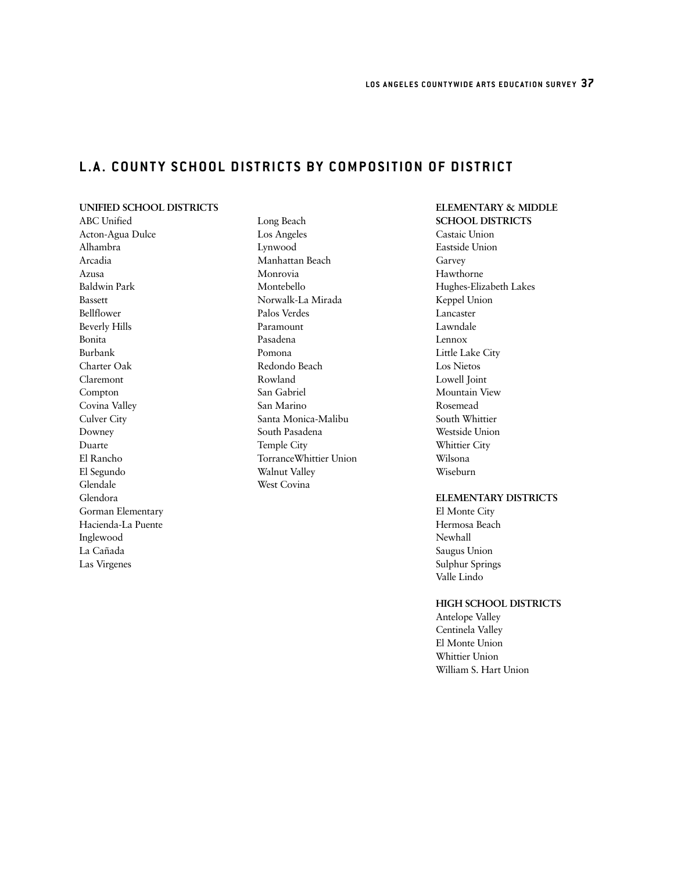# **L.A. COUNTY SCHOOL DISTRICTS BY COMPOSITION OF DISTRICT**

## **UNIFIED SCHOOL DISTRICTS**

ABC Unified Acton-Agua Dulce Alhambra Arcadia Azusa Baldwin Park Bassett Bellflower Beverly Hills Bonita Burbank Charter Oak Claremont Compton Covina Valley Culver City Downey Duarte El Rancho El Segundo Glendale Glendora Gorman Elementary Hacienda-La Puente Inglewood La Cañada Las Virgenes

Long Beach Los Angeles Lynwood Manhattan Beach Monrovia Montebello Norwalk-La Mirada Palos Verdes Paramount Pasadena Pomona Redondo Beach Rowland San Gabriel San Marino Santa Monica-Malibu South Pasadena Temple City TorranceWhittier Union Walnut Valley West Covina

#### **ELEMENTARY & MIDDLE SCHOOL DISTRICTS**

Castaic Union Eastside Union Garvey Hawthorne Hughes-Elizabeth Lakes Keppel Union Lancaster Lawndale Lennox Little Lake City Los Nietos Lowell Joint Mountain View Rosemead South Whittier Westside Union Whittier City Wilsona Wiseburn

#### **ELEMENTARY DISTRICTS**

El Monte City Hermosa Beach Newhall Saugus Union Sulphur Springs Valle Lindo

#### **HIGH SCHOOL DISTRICTS**

Antelope Valley Centinela Valley El Monte Union Whittier Union William S. Hart Union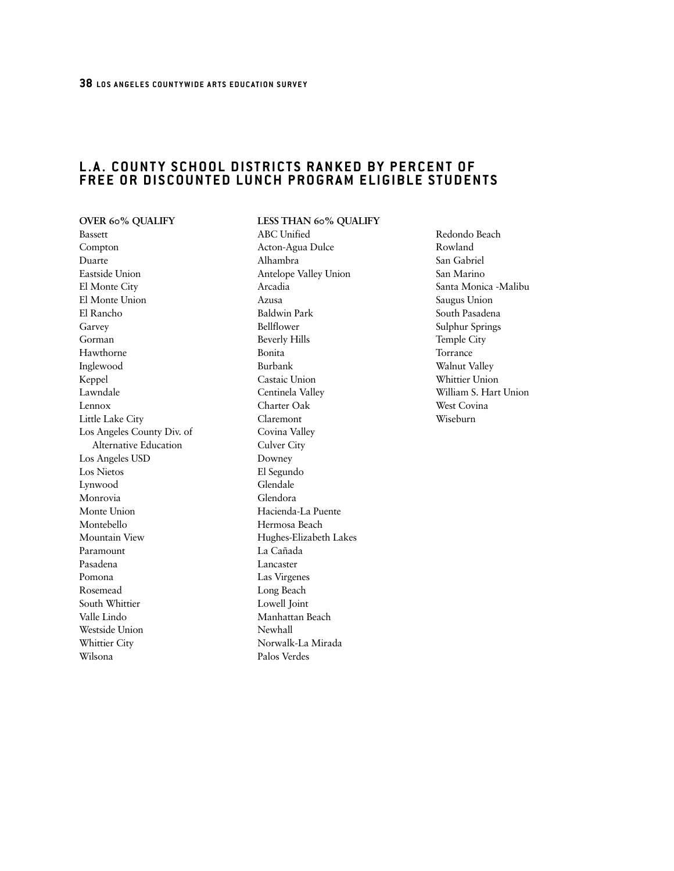# **L.A. COUNTY SCHOOL DISTRICTS RANKED BY PERCENT OF FREE OR DISCOUNTED LUNCH PROGRAM ELIGIBLE STUDENTS**

**OVER 60% QUALIFY** Bassett Compton Duarte Eastside Union El Monte City El Monte Union El Rancho Garvey Gorman Hawthorne Inglewood Keppel Lawndale Lennox Little Lake City Los Angeles County Div. of Alternative Education Los Angeles USD Los Nietos Lynwood Monrovia Monte Union Montebello Mountain View Paramount Pasadena Pomona Rosemead South Whittier Valle Lindo Westside Union Whittier City Wilsona

**LESS THAN 60% QUALIFY**  ABC Unified Acton-Agua Dulce Alhambra Antelope Valley Union Arcadia Azusa Baldwin Park Bellflower Beverly Hills Bonita Burbank Castaic Union Centinela Valley Charter Oak Claremont Covina Valley Culver City Downey El Segundo Glendale Glendora Hacienda-La Puente Hermosa Beach Hughes-Elizabeth Lakes La Cañada Lancaster Las Virgenes Long Beach Lowell Joint Manhattan Beach Newhall Norwalk-La Mirada Palos Verdes

Redondo Beach Rowland San Gabriel San Marino Santa Monica -Malibu Saugus Union South Pasadena Sulphur Springs Temple City Torrance Walnut Valley Whittier Union William S. Hart Union West Covina Wiseburn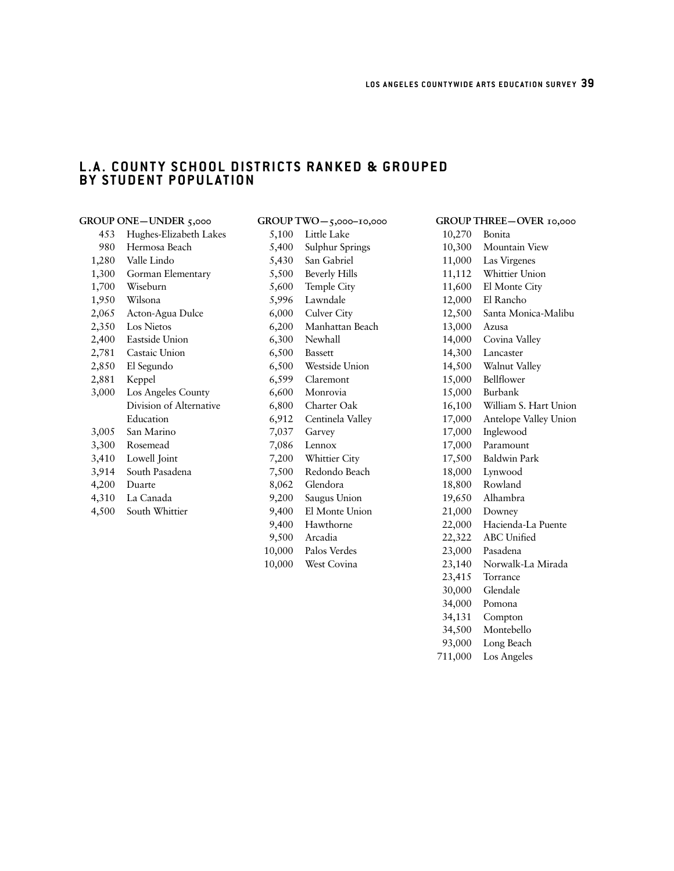23,415 Torrance 30,000 Glendale 34,000 Pomona 34,131 Compton 34,500 Montebello 93,000 Long Beach 711,000 Los Angeles

# **L.A. COUNTY SCHOOL DISTRICTS RANKED & GROUPED BY STUDENT POPULATION**

|       | GROUP ONE-UNDER 5,000   |        | GROUP TWO-5,000-10,000 |        | GROUP THREE-OVER 10,000 |
|-------|-------------------------|--------|------------------------|--------|-------------------------|
| 453   | Hughes-Elizabeth Lakes  | 5,100  | Little Lake            | 10,270 | Bonita                  |
| 980   | Hermosa Beach           | 5,400  | Sulphur Springs        | 10,300 | Mountain View           |
| 1,280 | Valle Lindo             | 5,430  | San Gabriel            | 11,000 | Las Virgenes            |
| 1,300 | Gorman Elementary       | 5,500  | <b>Beverly Hills</b>   | 11,112 | Whittier Union          |
| 1,700 | Wiseburn                | 5,600  | Temple City            | 11,600 | El Monte City           |
| 1,950 | Wilsona                 | 5,996  | Lawndale               | 12,000 | El Rancho               |
| 2,065 | Acton-Agua Dulce        | 6,000  | Culver City            | 12,500 | Santa Monica-Malibu     |
| 2,350 | Los Nietos              | 6,200  | Manhattan Beach        | 13,000 | Azusa                   |
| 2,400 | Eastside Union          | 6,300  | Newhall                | 14,000 | Covina Valley           |
| 2,781 | Castaic Union           | 6,500  | <b>Bassett</b>         | 14,300 | Lancaster               |
| 2,850 | El Segundo              | 6,500  | Westside Union         | 14,500 | Walnut Valley           |
| 2,881 | Keppel                  | 6,599  | Claremont              | 15,000 | Bellflower              |
| 3,000 | Los Angeles County      | 6,600  | Monrovia               | 15,000 | Burbank                 |
|       | Division of Alternative | 6,800  | Charter Oak            | 16,100 | William S. Hart Union   |
|       | Education               | 6,912  | Centinela Valley       | 17,000 | Antelope Valley Union   |
| 3,005 | San Marino              | 7,037  | Garvey                 | 17,000 | Inglewood               |
| 3,300 | Rosemead                | 7,086  | Lennox                 | 17,000 | Paramount               |
| 3,410 | Lowell Joint            | 7,200  | Whittier City          | 17,500 | <b>Baldwin Park</b>     |
| 3,914 | South Pasadena          | 7,500  | Redondo Beach          | 18,000 | Lynwood                 |
| 4,200 | Duarte                  | 8,062  | Glendora               | 18,800 | Rowland                 |
| 4,310 | La Canada               | 9,200  | Saugus Union           | 19,650 | Alhambra                |
| 4,500 | South Whittier          | 9,400  | El Monte Union         | 21,000 | Downey                  |
|       |                         | 9,400  | Hawthorne              | 22,000 | Hacienda-La Puente      |
|       |                         | 9,500  | Arcadia                | 22,322 | ABC Unified             |
|       |                         | 10,000 | Palos Verdes           | 23,000 | Pasadena                |
|       |                         | 10,000 | West Covina            | 23,140 | Norwalk-La Mirada       |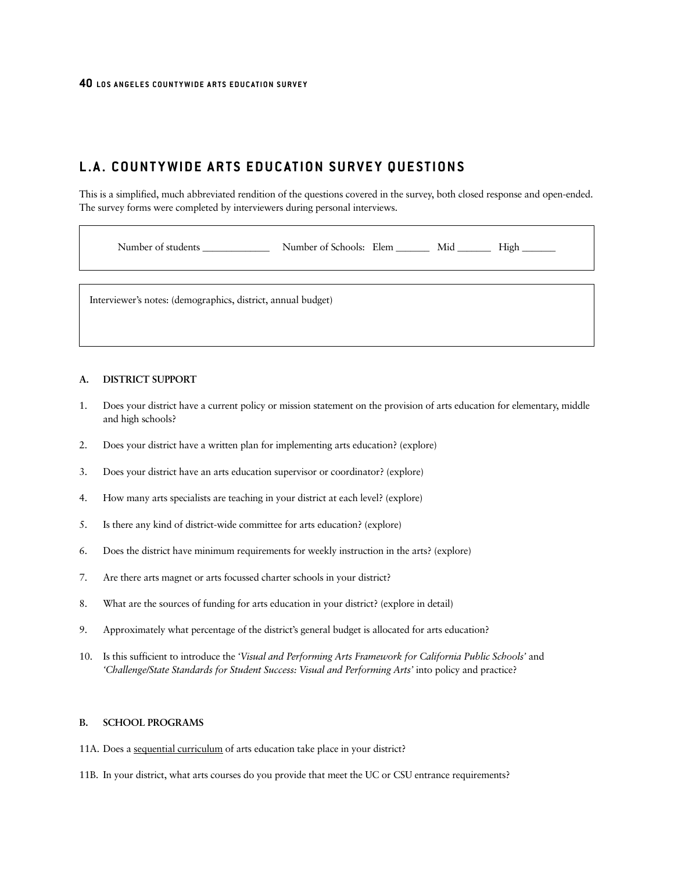# **L.A. COUNTYWIDE ARTS EDUCATION SURVEY QUESTIONS**

This is a simplified, much abbreviated rendition of the questions covered in the survey, both closed response and open-ended. The survey forms were completed by interviewers during personal interviews.

Number of students \_\_\_\_\_\_\_\_\_\_\_\_\_\_\_\_\_\_\_ Number of Schools: Elem \_\_\_\_\_\_\_\_\_ Mid \_\_\_\_\_\_\_\_\_ High \_\_\_\_\_\_\_

Interviewer's notes: (demographics, district, annual budget)

#### **A. DISTRICT SUPPORT**

- 1. Does your district have a current policy or mission statement on the provision of arts education for elementary, middle and high schools?
- 2. Does your district have a written plan for implementing arts education? (explore)
- 3. Does your district have an arts education supervisor or coordinator? (explore)
- 4. How many arts specialists are teaching in your district at each level? (explore)
- 5. Is there any kind of district-wide committee for arts education? (explore)
- 6. Does the district have minimum requirements for weekly instruction in the arts? (explore)
- 7. Are there arts magnet or arts focussed charter schools in your district?
- 8. What are the sources of funding for arts education in your district? (explore in detail)
- 9. Approximately what percentage of the district's general budget is allocated for arts education?
- 10. Is this sufficient to introduce the *'Visual and Performing Arts Framework for California Public Schools'* and *'Challenge/State Standards for Student Success: Visual and Performing Arts'* into policy and practice?

#### **B. SCHOOL PROGRAMS**

11A. Does a sequential curriculum of arts education take place in your district?

11B. In your district, what arts courses do you provide that meet the UC or CSU entrance requirements?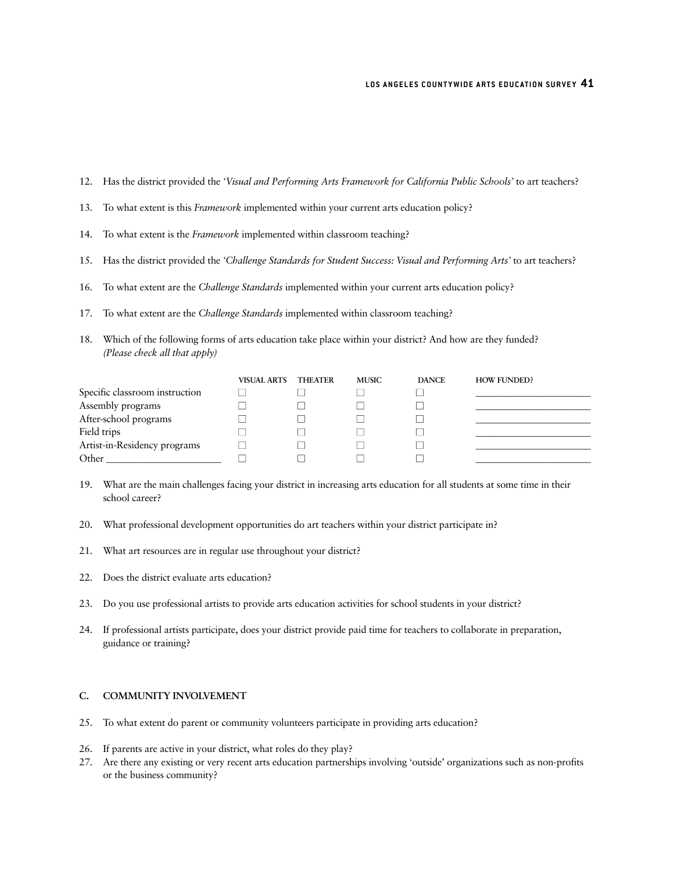- 12. Has the district provided the *'Visual and Performing Arts Framework for California Public Schools'* to art teachers?
- 13. To what extent is this *Framework* implemented within your current arts education policy?
- 14. To what extent is the *Framework* implemented within classroom teaching?
- 15. Has the district provided the *'Challenge Standards for Student Success: Visual and Performing Arts'* to art teachers?
- 16. To what extent are the *Challenge Standards* implemented within your current arts education policy?
- 17. To what extent are the *Challenge Standards* implemented within classroom teaching?
- 18. Which of the following forms of arts education take place within your district? And how are they funded? *(Please check all that apply)*

|                                | <b>VISUAL ARTS</b> | <b>THEATER</b> | <b>MUSIC</b> | <b>DANCE</b> | <b>HOW FUNDED?</b> |
|--------------------------------|--------------------|----------------|--------------|--------------|--------------------|
| Specific classroom instruction |                    |                |              |              |                    |
| Assembly programs              |                    |                |              |              |                    |
| After-school programs          |                    |                |              |              |                    |
| Field trips                    |                    |                |              |              |                    |
| Artist-in-Residency programs   |                    |                |              |              |                    |
| Other                          |                    |                |              |              |                    |

- 19. What are the main challenges facing your district in increasing arts education for all students at some time in their school career?
- 20. What professional development opportunities do art teachers within your district participate in?
- 21. What art resources are in regular use throughout your district?
- 22. Does the district evaluate arts education?
- 23. Do you use professional artists to provide arts education activities for school students in your district?
- 24. If professional artists participate, does your district provide paid time for teachers to collaborate in preparation, guidance or training?

#### **C. COMMUNITY INVOLVEMENT**

- 25. To what extent do parent or community volunteers participate in providing arts education?
- 26. If parents are active in your district, what roles do they play?
- 27. Are there any existing or very recent arts education partnerships involving 'outside' organizations such as non-profits or the business community?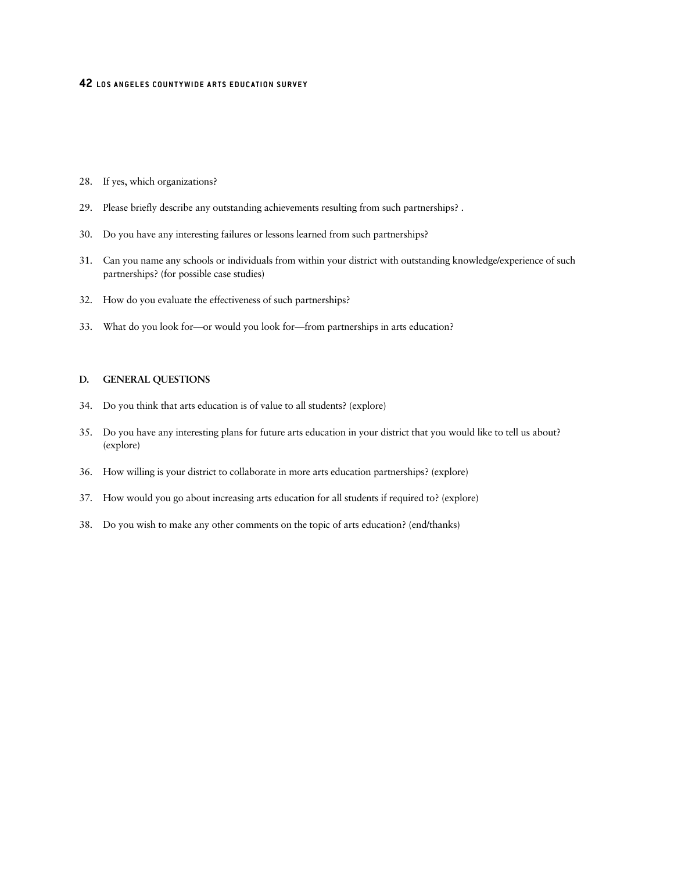- 28. If yes, which organizations?
- 29. Please briefly describe any outstanding achievements resulting from such partnerships? .
- 30. Do you have any interesting failures or lessons learned from such partnerships?
- 31. Can you name any schools or individuals from within your district with outstanding knowledge/experience of such partnerships? (for possible case studies)
- 32. How do you evaluate the effectiveness of such partnerships?
- 33. What do you look for—or would you look for—from partnerships in arts education?

#### **D. GENERAL QUESTIONS**

- 34. Do you think that arts education is of value to all students? (explore)
- 35. Do you have any interesting plans for future arts education in your district that you would like to tell us about? (explore)
- 36. How willing is your district to collaborate in more arts education partnerships? (explore)
- 37. How would you go about increasing arts education for all students if required to? (explore)
- 38. Do you wish to make any other comments on the topic of arts education? (end/thanks)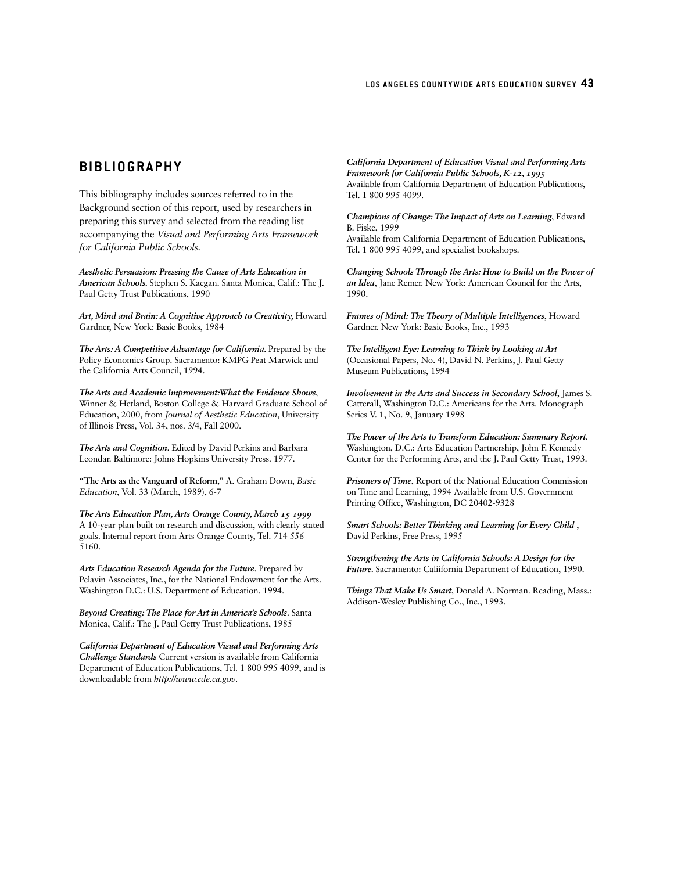# **BIBLIOGRAPHY**

This bibliography includes sources referred to in the Background section of this report, used by researchers in preparing this survey and selected from the reading list accompanying the *Visual and Performing Arts Framework for California Public Schools.*

*Aesthetic Persuasion: Pressing the Cause of Arts Education in American Schools.* Stephen S. Kaegan. Santa Monica, Calif.: The J. Paul Getty Trust Publications, 1990

*Art, Mind and Brain: A Cognitive Approach to Creativity,* Howard Gardner, New York: Basic Books, 1984

*The Arts: A Competitive Advantage for California.* Prepared by the Policy Economics Group. Sacramento: KMPG Peat Marwick and the California Arts Council, 1994.

*The Arts and Academic Improvement:What the Evidence Shows*, Winner & Hetland, Boston College & Harvard Graduate School of Education, 2000, from *Journal of Aesthetic Education*, University of Illinois Press, Vol. 34, nos. 3/4, Fall 2000.

*The Arts and Cognition*. Edited by David Perkins and Barbara Leondar. Baltimore: Johns Hopkins University Press. 1977.

**"The Arts as the Vanguard of Reform,"** A. Graham Down, *Basic Education*, Vol. 33 (March, 1989), 6-7

*The Arts Education Plan, Arts Orange County, March 15 1999* A 10-year plan built on research and discussion, with clearly stated goals. Internal report from Arts Orange County, Tel. 714 556 5160.

*Arts Education Research Agenda for the Future*. Prepared by Pelavin Associates, Inc., for the National Endowment for the Arts. Washington D.C.: U.S. Department of Education. 1994.

*Beyond Creating: The Place for Art in America's Schools*. Santa Monica, Calif.: The J. Paul Getty Trust Publications, 1985

*California Department of Education Visual and Performing Arts Challenge Standards* Current version is available from California Department of Education Publications, Tel. 1 800 995 4099, and is downloadable from *http://www.cde.ca.gov*.

*California Department of Education Visual and Performing Arts Framework for California Public Schools, K-12, 1995* Available from California Department of Education Publications, Tel. 1 800 995 4099.

*Champions of Change: The Impact of Arts on Learning*, Edward B. Fiske, 1999

Available from California Department of Education Publications, Tel. 1 800 995 4099, and specialist bookshops.

*Changing Schools Through the Arts: How to Build on the Power of an Idea*, Jane Remer. New York: American Council for the Arts, 1990.

*Frames of Mind: The Theory of Multiple Intelligences*, Howard Gardner. New York: Basic Books, Inc., 1993

*The Intelligent Eye: Learning to Think by Looking at Art* (Occasional Papers, No. 4), David N. Perkins, J. Paul Getty Museum Publications, 1994

*Involvement in the Arts and Success in Secondary School*, James S. Catterall, Washington D.C.: Americans for the Arts. Monograph Series V. 1, No. 9, January 1998

*The Power of the Arts to Transform Education: Summary Report*. Washington, D.C.: Arts Education Partnership, John F. Kennedy Center for the Performing Arts, and the J. Paul Getty Trust, 1993.

*Prisoners of Time*, Report of the National Education Commission on Time and Learning, 1994 Available from U.S. Government Printing Office, Washington, DC 20402-9328

*Smart Schools: Better Thinking and Learning for Every Child* , David Perkins, Free Press, 1995

*Strengthening the Arts in California Schools: A Design for the Future.* Sacramento: Caliifornia Department of Education, 1990.

*Things That Make Us Smart*, Donald A. Norman. Reading, Mass.: Addison-Wesley Publishing Co., Inc., 1993.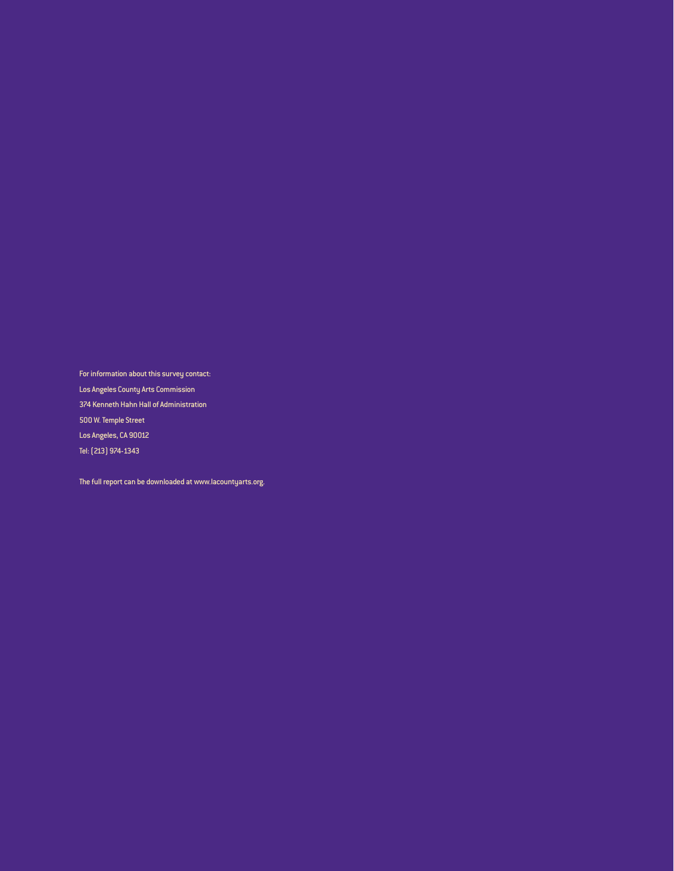For information about this survey contact:

Los Angeles County Arts Commission

374 Kenneth Hahn Hall of Administration

500 W. Temple Street

Los Angeles, CA 90012

Tel: (213) 974-1343

The full report can be downloaded at www.lacountyarts.org.